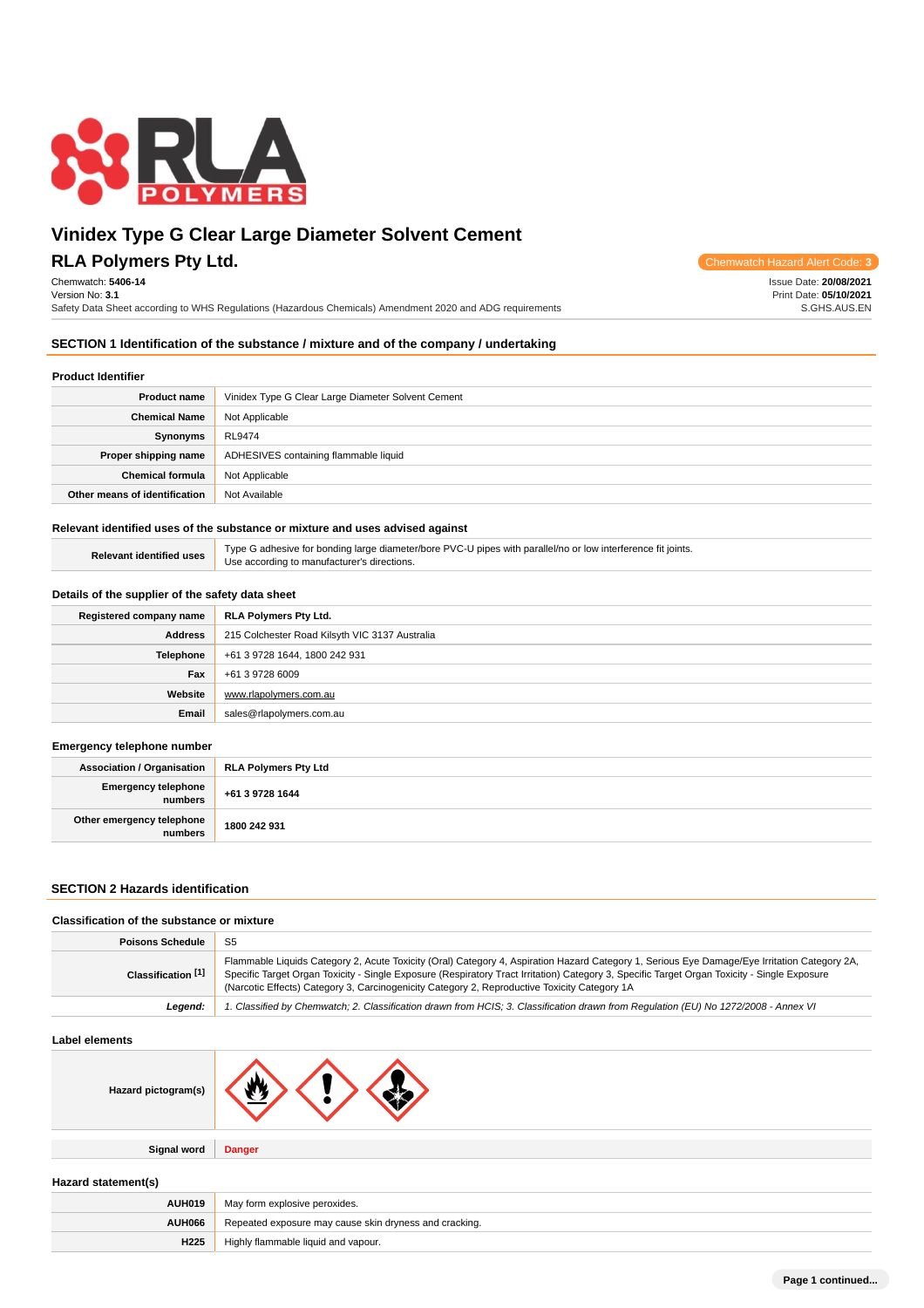

## **RLA Polymers Pty Ltd.** Chemwatch Hazard Alert Code: **3**

Chemwatch: **5406-14** Version No: **3.1**

Safety Data Sheet according to WHS Regulations (Hazardous Chemicals) Amendment 2020 and ADG requirements

Issue Date: **20/08/2021** Print Date: **05/10/2021** S.GHS.AUS.EN

#### **SECTION 1 Identification of the substance / mixture and of the company / undertaking**

### **Product Identifier**

| .                             |                                                    |  |
|-------------------------------|----------------------------------------------------|--|
| <b>Product name</b>           | Vinidex Type G Clear Large Diameter Solvent Cement |  |
| <b>Chemical Name</b>          | Not Applicable                                     |  |
| Synonyms                      | RL9474                                             |  |
| Proper shipping name          | ADHESIVES containing flammable liquid              |  |
| <b>Chemical formula</b>       | Not Applicable                                     |  |
| Other means of identification | Not Available                                      |  |

#### **Relevant identified uses of the substance or mixture and uses advised against**

| <b>Relevant identified uses</b> | Type G adhesive for bonding large diameter/bore PVC-U pipes with parallel/no or low interference fit joints. |
|---------------------------------|--------------------------------------------------------------------------------------------------------------|
|                                 | Use according to manufacturer's directions.                                                                  |

#### **Details of the supplier of the safety data sheet**

| Registered company name | <b>RLA Polymers Pty Ltd.</b>                   |  |
|-------------------------|------------------------------------------------|--|
| Address                 | 215 Colchester Road Kilsyth VIC 3137 Australia |  |
| <b>Telephone</b>        | +61 3 9728 1644, 1800 242 931                  |  |
| Fax                     | +61 3 9728 6009                                |  |
| Website                 | www.rlapolymers.com.au                         |  |
| Email                   | sales@rlapolymers.com.au                       |  |

#### **Emergency telephone number**

| Association / Organisation           | <b>RLA Polymers Pty Ltd</b> |
|--------------------------------------|-----------------------------|
| Emergency telephone<br>numbers       | +61 3 9728 1644             |
| Other emergency telephone<br>numbers | 1800 242 931                |

#### **SECTION 2 Hazards identification**

#### **Classification of the substance or mixture**

| <b>Poisons Schedule</b>       | -S5                                                                                                                                                                                                                                                                                                                                                                                          |  |
|-------------------------------|----------------------------------------------------------------------------------------------------------------------------------------------------------------------------------------------------------------------------------------------------------------------------------------------------------------------------------------------------------------------------------------------|--|
| Classification <sup>[1]</sup> | Flammable Liquids Category 2, Acute Toxicity (Oral) Category 4, Aspiration Hazard Category 1, Serious Eye Damage/Eye Irritation Category 2A,<br>Specific Target Organ Toxicity - Single Exposure (Respiratory Tract Irritation) Category 3, Specific Target Organ Toxicity - Single Exposure<br>(Narcotic Effects) Category 3, Carcinogenicity Category 2, Reproductive Toxicity Category 1A |  |
| Leaend:                       | 1. Classified by Chemwatch; 2. Classification drawn from HCIS; 3. Classification drawn from Requlation (EU) No 1272/2008 - Annex VI                                                                                                                                                                                                                                                          |  |

#### **Label elements**

| Hazard pictogram(s) |               |
|---------------------|---------------|
|                     |               |
| <b>Signal word</b>  | <b>Danger</b> |

**Hazard statement(s)**

| <b>AUH019</b>    | May form explosive peroxides.                          |  |
|------------------|--------------------------------------------------------|--|
| AUH066           | Repeated exposure may cause skin dryness and cracking. |  |
| H <sub>225</sub> | Highly flammable liquid and vapour.                    |  |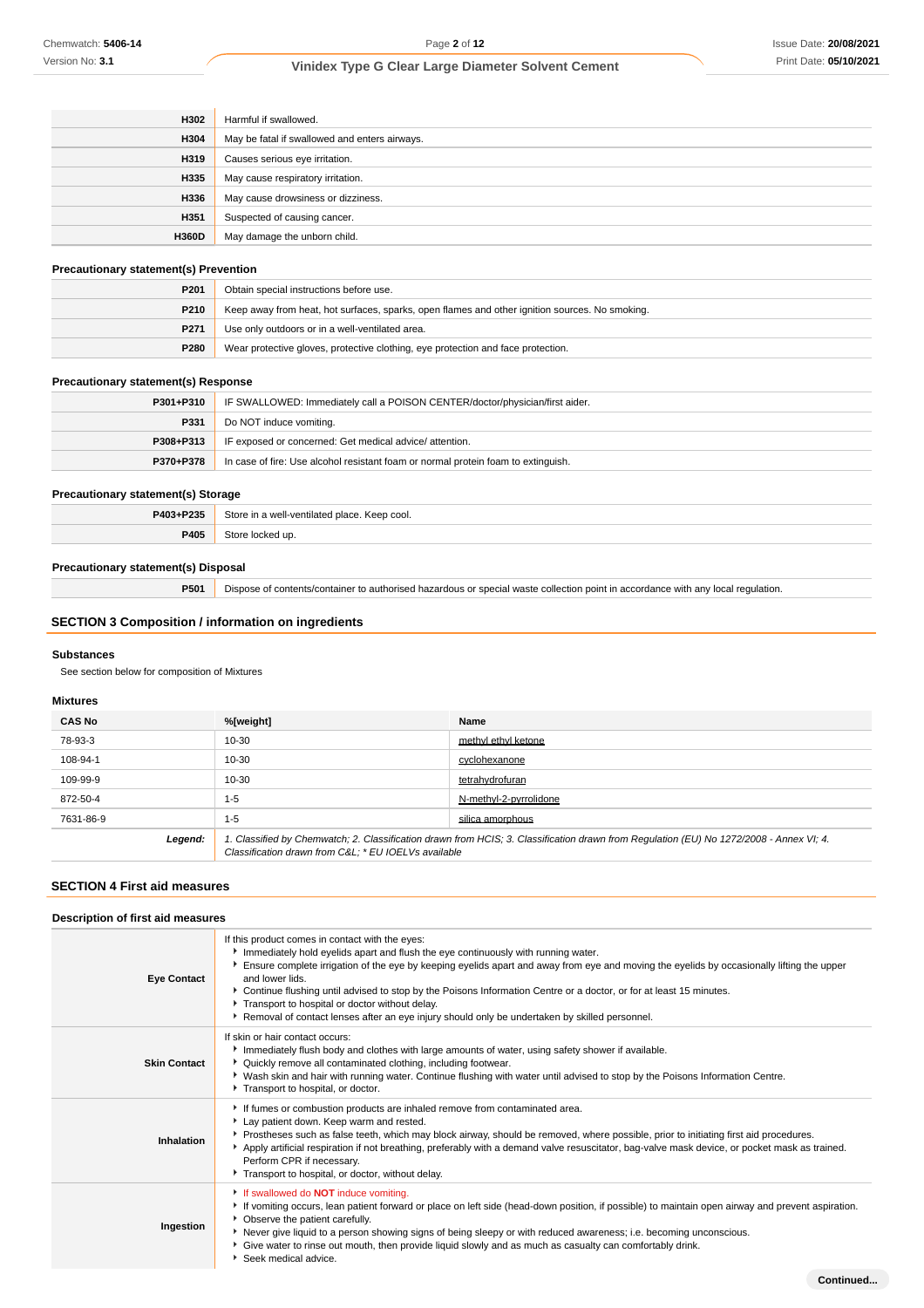| H302         | Harmful if swallowed.                         |
|--------------|-----------------------------------------------|
| H304         | May be fatal if swallowed and enters airways. |
| H319         | Causes serious eye irritation.                |
| H335         | May cause respiratory irritation.             |
| H336         | May cause drowsiness or dizziness.            |
| H351         | Suspected of causing cancer.                  |
| <b>H360D</b> | May damage the unborn child.                  |

#### **Precautionary statement(s) Prevention**

| P <sub>201</sub>                                                                                | Obtain special instructions before use.                                                        |  |
|-------------------------------------------------------------------------------------------------|------------------------------------------------------------------------------------------------|--|
| P <sub>210</sub>                                                                                | Keep away from heat, hot surfaces, sparks, open flames and other ignition sources. No smoking. |  |
| P <sub>271</sub>                                                                                | Use only outdoors or in a well-ventilated area.                                                |  |
| Wear protective gloves, protective clothing, eye protection and face protection.<br><b>P280</b> |                                                                                                |  |

### **Precautionary statement(s) Response**

| $P301 + P310$ | IF SWALLOWED: Immediately call a POISON CENTER/doctor/physician/first aider.      |  |
|---------------|-----------------------------------------------------------------------------------|--|
| P331          | Do NOT induce vomiting.                                                           |  |
| $P308 + P313$ | IF exposed or concerned: Get medical advice/attention.                            |  |
| P370+P378     | In case of fire: Use alcohol resistant foam or normal protein foam to extinguish. |  |

## **Precautionary statement(s) Storage**

| P403+P235 | Store in a well-ventilated place. Keep cool. |  |
|-----------|----------------------------------------------|--|
| P405      | Store locked up.                             |  |

### **Precautionary statement(s) Disposal**

**P501** Dispose of contents/container to authorised hazardous or special waste collection point in accordance with any local regulation.

### **SECTION 3 Composition / information on ingredients**

#### **Substances**

See section below for composition of Mixtures

#### **Mixtures**

| <b>CAS No</b> | %[weight]                                                                                                                                                                                      | Name                   |
|---------------|------------------------------------------------------------------------------------------------------------------------------------------------------------------------------------------------|------------------------|
| 78-93-3       | 10-30                                                                                                                                                                                          | methyl ethyl ketone    |
| 108-94-1      | 10-30                                                                                                                                                                                          | cyclohexanone          |
| 109-99-9      | 10-30                                                                                                                                                                                          | tetrahydrofuran        |
| 872-50-4      | $1 - 5$                                                                                                                                                                                        | N-methyl-2-pyrrolidone |
| 7631-86-9     | $1 - 5$                                                                                                                                                                                        | silica amorphous       |
| Legend:       | 1. Classified by Chemwatch; 2. Classification drawn from HCIS; 3. Classification drawn from Regulation (EU) No 1272/2008 - Annex VI; 4.<br>Classification drawn from C&L * EU IOELVs available |                        |

### **SECTION 4 First aid measures**

| Description of first aid measures |                                                                                                                                                                                                                                                                                                                                                                                                                                                                                                                                                                                 |
|-----------------------------------|---------------------------------------------------------------------------------------------------------------------------------------------------------------------------------------------------------------------------------------------------------------------------------------------------------------------------------------------------------------------------------------------------------------------------------------------------------------------------------------------------------------------------------------------------------------------------------|
| <b>Eye Contact</b>                | If this product comes in contact with the eyes:<br>Immediately hold eyelids apart and flush the eye continuously with running water.<br>Ensure complete irrigation of the eye by keeping eyelids apart and away from eye and moving the eyelids by occasionally lifting the upper<br>and lower lids.<br>▶ Continue flushing until advised to stop by the Poisons Information Centre or a doctor, or for at least 15 minutes.<br>Transport to hospital or doctor without delay.<br>Removal of contact lenses after an eye injury should only be undertaken by skilled personnel. |
| <b>Skin Contact</b>               | If skin or hair contact occurs:<br>Immediately flush body and clothes with large amounts of water, using safety shower if available.<br>▶ Quickly remove all contaminated clothing, including footwear.<br>▶ Wash skin and hair with running water. Continue flushing with water until advised to stop by the Poisons Information Centre.<br>Transport to hospital, or doctor.                                                                                                                                                                                                  |
| Inhalation                        | If fumes or combustion products are inhaled remove from contaminated area.<br>Lay patient down. Keep warm and rested.<br>▶ Prostheses such as false teeth, which may block airway, should be removed, where possible, prior to initiating first aid procedures.<br>Apply artificial respiration if not breathing, preferably with a demand valve resuscitator, bag-valve mask device, or pocket mask as trained.<br>Perform CPR if necessary.<br>Transport to hospital, or doctor, without delay.                                                                               |
| Ingestion                         | If swallowed do <b>NOT</b> induce vomiting.<br>▶ If vomiting occurs, lean patient forward or place on left side (head-down position, if possible) to maintain open airway and prevent aspiration.<br>• Observe the patient carefully.<br>Never give liquid to a person showing signs of being sleepy or with reduced awareness; i.e. becoming unconscious.<br>Give water to rinse out mouth, then provide liquid slowly and as much as casualty can comfortably drink.<br>Seek medical advice.                                                                                  |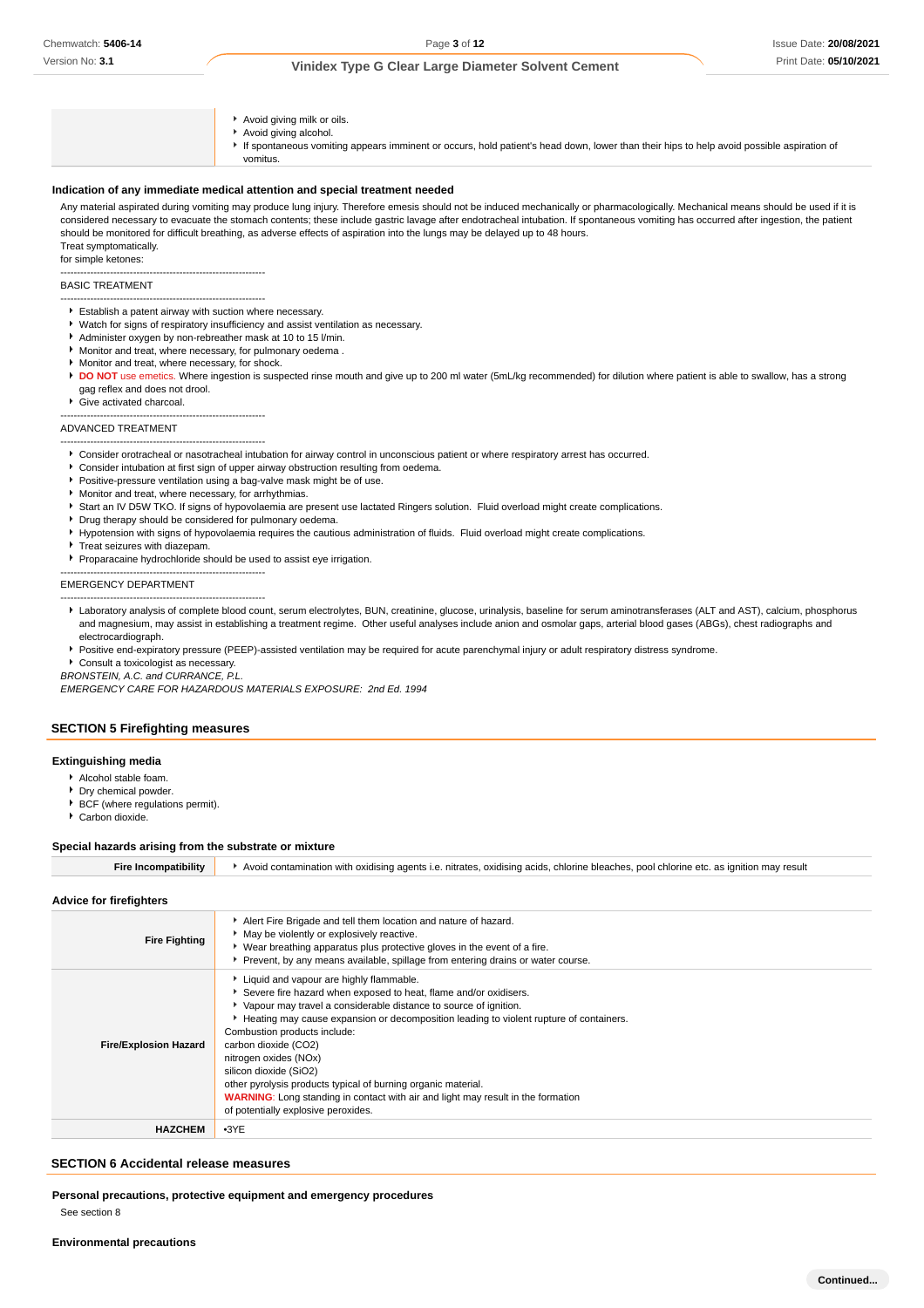- Avoid giving milk or oils.
- Avoid giving alcohol.
- If spontaneous vomiting appears imminent or occurs, hold patient's head down, lower than their hips to help avoid possible aspiration of vomitus.

#### **Indication of any immediate medical attention and special treatment needed**

Any material aspirated during vomiting may produce lung injury. Therefore emesis should not be induced mechanically or pharmacologically. Mechanical means should be used if it is considered necessary to evacuate the stomach contents; these include gastric lavage after endotracheal intubation. If spontaneous vomiting has occurred after ingestion, the patient should be monitored for difficult breathing, as adverse effects of aspiration into the lungs may be delayed up to 48 hours. Treat symptomatically.

for simple ketones:

#### -------------------------------------------------------------- BASIC TREATMENT

- -------------------------------------------------------------- Establish a patent airway with suction where necessary.
- Watch for signs of respiratory insufficiency and assist ventilation as necessary.
- Administer oxygen by non-rebreather mask at 10 to 15 l/min.
- ¥ Monitor and treat, where necessary, for pulmonary oedema .
- **Monitor and treat, where necessary, for shock.**
- **DO NOT** use emetics. Where ingestion is suspected rinse mouth and give up to 200 ml water (5mL/kg recommended) for dilution where patient is able to swallow, has a strong gag reflex and does not drool.
- Give activated charcoal.

--------------------------------------------------------------

#### ADVANCED TREATMENT --------------------------------------------------------------

- Consider orotracheal or nasotracheal intubation for airway control in unconscious patient or where respiratory arrest has occurred.
- Consider intubation at first sign of upper airway obstruction resulting from oedema.
- Positive-pressure ventilation using a bag-valve mask might be of use.
- Monitor and treat, where necessary, for arrhythmias.
- ▶ Start an IV D5W TKO. If signs of hypovolaemia are present use lactated Ringers solution. Fluid overload might create complications.
- Drug therapy should be considered for pulmonary oedema.
- Hypotension with signs of hypovolaemia requires the cautious administration of fluids. Fluid overload might create complications.
- Treat seizures with diazepam.
- Proparacaine hydrochloride should be used to assist eye irrigation.

#### -------------------------------------------------------------- EMERGENCY DEPARTMENT

Laboratory analysis of complete blood count, serum electrolytes, BUN, creatinine, glucose, urinalysis, baseline for serum aminotransferases (ALT and AST), calcium, phosphorus and magnesium, may assist in establishing a treatment regime. Other useful analyses include anion and osmolar gaps, arterial blood gases (ABGs), chest radiographs and electrocardiograph.

Positive end-expiratory pressure (PEEP)-assisted ventilation may be required for acute parenchymal injury or adult respiratory distress syndrome.

Consult a toxicologist as necessary.

--------------------------------------------------------------

BRONSTEIN, A.C. and CURRANCE, P.L.

EMERGENCY CARE FOR HAZARDOUS MATERIALS EXPOSURE: 2nd Ed. 1994

#### **SECTION 5 Firefighting measures**

#### **Extinguishing media**

- Alcohol stable foam.
- **Dry chemical powder.**
- BCF (where regulations permit).
- Carbon dioxide.

#### **Special hazards arising from the substrate or mixture**

Fire Incompatibility **A** Avoid contamination with oxidising agents i.e. nitrates, oxidising acids, chlorine bleaches, pool chlorine etc. as ignition may result

#### **Advice for firefighters**

| <b>Fire Fighting</b>         | Alert Fire Brigade and tell them location and nature of hazard.<br>• May be violently or explosively reactive.<br>• Wear breathing apparatus plus protective gloves in the event of a fire.<br>Prevent, by any means available, spillage from entering drains or water course.                                                                                                                                                                                                                                                                                                            |
|------------------------------|-------------------------------------------------------------------------------------------------------------------------------------------------------------------------------------------------------------------------------------------------------------------------------------------------------------------------------------------------------------------------------------------------------------------------------------------------------------------------------------------------------------------------------------------------------------------------------------------|
| <b>Fire/Explosion Hazard</b> | Liquid and vapour are highly flammable.<br>Severe fire hazard when exposed to heat, flame and/or oxidisers.<br>▶ Vapour may travel a considerable distance to source of ignition.<br>Heating may cause expansion or decomposition leading to violent rupture of containers.<br>Combustion products include:<br>carbon dioxide (CO2)<br>nitrogen oxides (NOx)<br>silicon dioxide (SiO2)<br>other pyrolysis products typical of burning organic material.<br><b>WARNING:</b> Long standing in contact with air and light may result in the formation<br>of potentially explosive peroxides. |
| <b>HAZCHEM</b>               | $-3YE$                                                                                                                                                                                                                                                                                                                                                                                                                                                                                                                                                                                    |

#### **SECTION 6 Accidental release measures**

**Personal precautions, protective equipment and emergency procedures** See section 8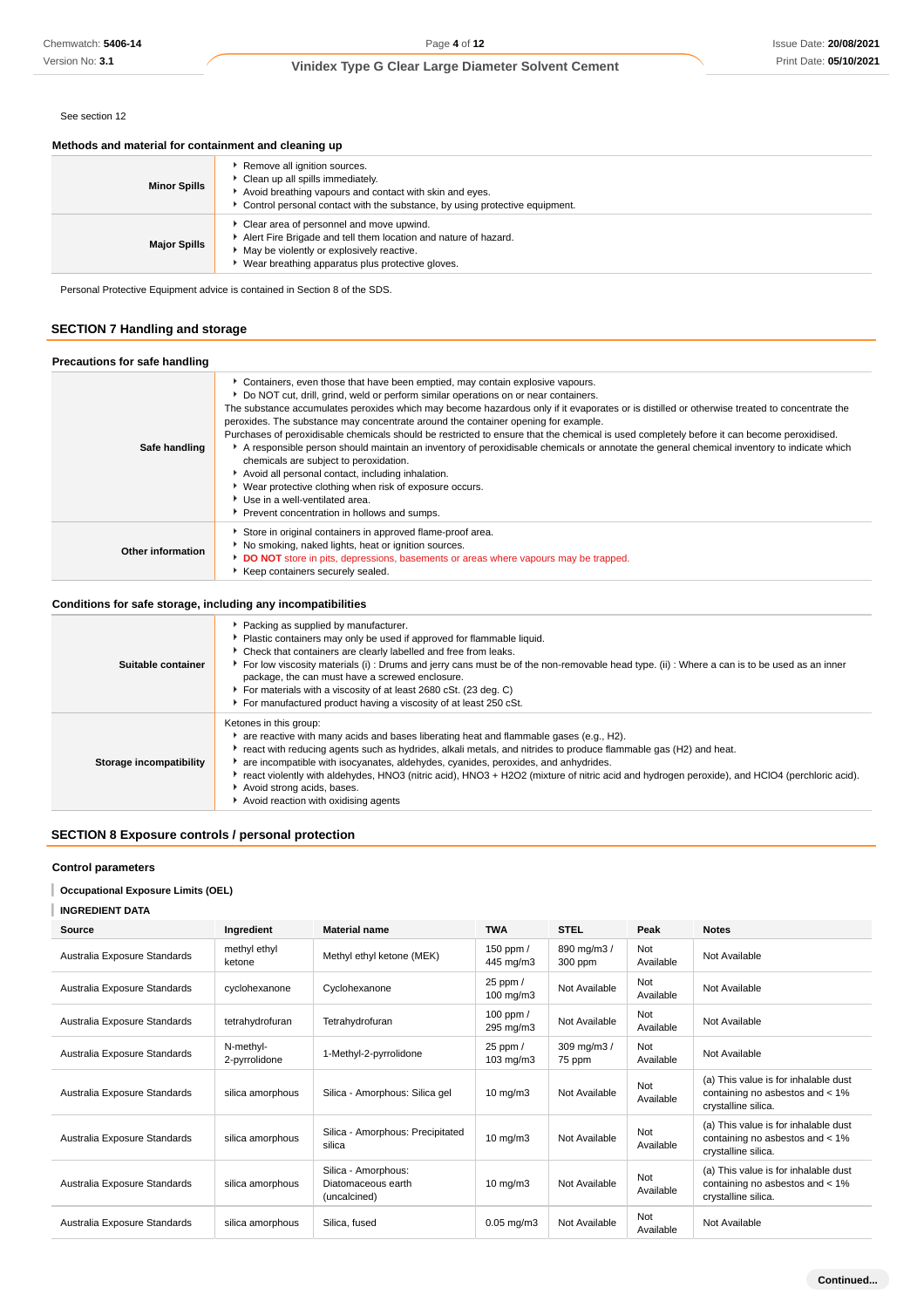### **Vinidex Type G Clear Large Diameter Solvent Cement**

#### See section 12

#### **Methods and material for containment and cleaning up**

| <b>Minor Spills</b> | Remove all ignition sources.<br>Clean up all spills immediately.<br>Avoid breathing vapours and contact with skin and eyes.<br>Control personal contact with the substance, by using protective equipment.         |
|---------------------|--------------------------------------------------------------------------------------------------------------------------------------------------------------------------------------------------------------------|
| <b>Major Spills</b> | • Clear area of personnel and move upwind.<br>Alert Fire Brigade and tell them location and nature of hazard.<br>• May be violently or explosively reactive.<br>▶ Wear breathing apparatus plus protective gloves. |

Personal Protective Equipment advice is contained in Section 8 of the SDS.

### **SECTION 7 Handling and storage**

### **Precautions for safe handling**

| Safe handling     | Containers, even those that have been emptied, may contain explosive vapours.<br>▶ Do NOT cut, drill, grind, weld or perform similar operations on or near containers.<br>The substance accumulates peroxides which may become hazardous only if it evaporates or is distilled or otherwise treated to concentrate the<br>peroxides. The substance may concentrate around the container opening for example.<br>Purchases of peroxidisable chemicals should be restricted to ensure that the chemical is used completely before it can become peroxidised.<br>A responsible person should maintain an inventory of peroxidisable chemicals or annotate the general chemical inventory to indicate which<br>chemicals are subject to peroxidation.<br>Avoid all personal contact, including inhalation.<br>• Wear protective clothing when risk of exposure occurs.<br>Use in a well-ventilated area.<br>Prevent concentration in hollows and sumps. |
|-------------------|-----------------------------------------------------------------------------------------------------------------------------------------------------------------------------------------------------------------------------------------------------------------------------------------------------------------------------------------------------------------------------------------------------------------------------------------------------------------------------------------------------------------------------------------------------------------------------------------------------------------------------------------------------------------------------------------------------------------------------------------------------------------------------------------------------------------------------------------------------------------------------------------------------------------------------------------------------|
| Other information | Store in original containers in approved flame-proof area.<br>No smoking, naked lights, heat or ignition sources.<br>DO NOT store in pits, depressions, basements or areas where vapours may be trapped.<br>Keep containers securely sealed.                                                                                                                                                                                                                                                                                                                                                                                                                                                                                                                                                                                                                                                                                                        |

### **Conditions for safe storage, including any incompatibilities**

| Suitable container      | ▶ Packing as supplied by manufacturer.<br>• Plastic containers may only be used if approved for flammable liquid.<br>• Check that containers are clearly labelled and free from leaks.<br>For low viscosity materials (i): Drums and jerry cans must be of the non-removable head type. (ii): Where a can is to be used as an inner<br>package, the can must have a screwed enclosure.<br>For materials with a viscosity of at least 2680 cSt. (23 deg. C)<br>For manufactured product having a viscosity of at least 250 cSt.                     |
|-------------------------|----------------------------------------------------------------------------------------------------------------------------------------------------------------------------------------------------------------------------------------------------------------------------------------------------------------------------------------------------------------------------------------------------------------------------------------------------------------------------------------------------------------------------------------------------|
| Storage incompatibility | Ketones in this group:<br>are reactive with many acids and bases liberating heat and flammable gases (e.g., H2).<br>Freact with reducing agents such as hydrides, alkali metals, and nitrides to produce flammable gas (H2) and heat.<br>are incompatible with isocyanates, aldehydes, cyanides, peroxides, and anhydrides.<br>Freact violently with aldehydes, HNO3 (nitric acid), HNO3 + H2O2 (mixture of nitric acid and hydrogen peroxide), and HClO4 (perchloric acid).<br>Avoid strong acids, bases.<br>Avoid reaction with oxidising agents |

### **SECTION 8 Exposure controls / personal protection**

#### **Control parameters**

#### **Occupational Exposure Limits (OEL)**

#### **INGREDIENT DATA**

| Source                       | Ingredient                 | <b>Material name</b>                                      | <b>TWA</b>                       | <b>STEL</b>            | Peak             | <b>Notes</b>                                                                                   |
|------------------------------|----------------------------|-----------------------------------------------------------|----------------------------------|------------------------|------------------|------------------------------------------------------------------------------------------------|
| Australia Exposure Standards | methyl ethyl<br>ketone     | Methyl ethyl ketone (MEK)                                 | 150 ppm /<br>445 mg/m3           | 890 mg/m3 /<br>300 ppm | Not<br>Available | Not Available                                                                                  |
| Australia Exposure Standards | cyclohexanone              | Cyclohexanone                                             | 25 ppm /<br>$100 \text{ mg/m}$ 3 | Not Available          | Not<br>Available | Not Available                                                                                  |
| Australia Exposure Standards | tetrahydrofuran            | Tetrahydrofuran                                           | 100 ppm /<br>295 mg/m3           | Not Available          | Not<br>Available | Not Available                                                                                  |
| Australia Exposure Standards | N-methyl-<br>2-pyrrolidone | 1-Methyl-2-pyrrolidone                                    | 25 ppm /<br>$103 \text{ mg/m}$   | 309 mg/m3 /<br>75 ppm  | Not<br>Available | Not Available                                                                                  |
| Australia Exposure Standards | silica amorphous           | Silica - Amorphous: Silica gel                            | $10$ mg/m $3$                    | Not Available          | Not<br>Available | (a) This value is for inhalable dust<br>containing no asbestos and < 1%<br>crystalline silica. |
| Australia Exposure Standards | silica amorphous           | Silica - Amorphous: Precipitated<br>silica                | $10 \text{ mg/m}$                | Not Available          | Not<br>Available | (a) This value is for inhalable dust<br>containing no asbestos and < 1%<br>crystalline silica. |
| Australia Exposure Standards | silica amorphous           | Silica - Amorphous:<br>Diatomaceous earth<br>(uncalcined) | $10$ mg/m $3$                    | Not Available          | Not<br>Available | (a) This value is for inhalable dust<br>containing no asbestos and < 1%<br>crystalline silica. |
| Australia Exposure Standards | silica amorphous           | Silica, fused                                             | $0.05$ mg/m $3$                  | Not Available          | Not<br>Available | Not Available                                                                                  |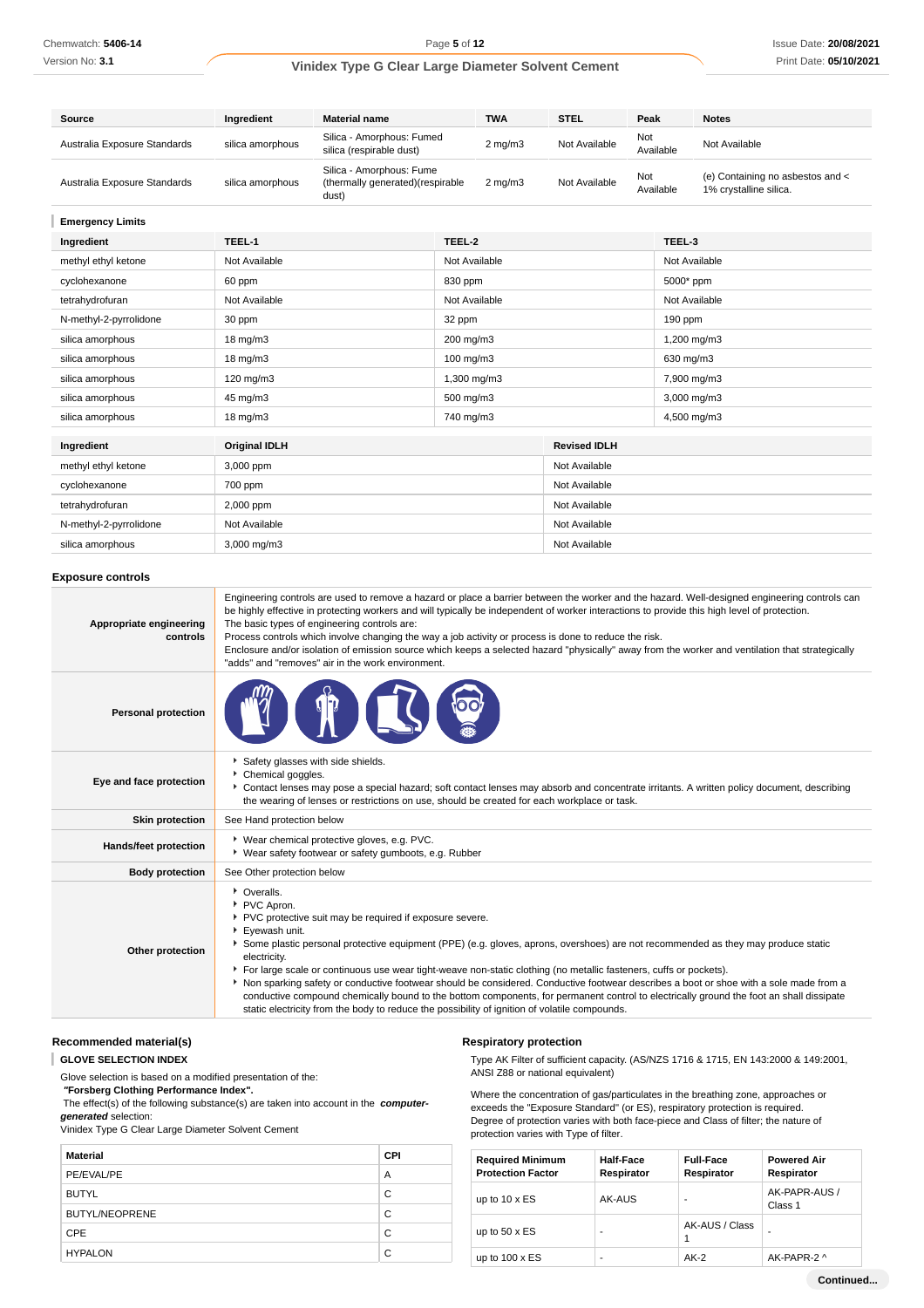### **Vinidex Type G Clear Large Diameter Solvent Cement**

| Source                       | Ingredient       | <b>Material name</b>                                                   | <b>TWA</b>         | <b>STEL</b>   | Peak             | <b>Notes</b>                                               |
|------------------------------|------------------|------------------------------------------------------------------------|--------------------|---------------|------------------|------------------------------------------------------------|
| Australia Exposure Standards | silica amorphous | Silica - Amorphous: Fumed<br>silica (respirable dust)                  | $2 \text{ mg/m}$   | Not Available | Not<br>Available | Not Available                                              |
| Australia Exposure Standards | silica amorphous | Silica - Amorphous: Fume<br>(thermally generated) (respirable<br>dust) | $2 \text{ ma/m}$ 3 | Not Available | Not<br>Available | (e) Containing no asbestos and <<br>1% crystalline silica. |

**Emergency Limits**

| Ingredient             | TEEL-1               | TEEL-2        |                     | TEEL-3        |
|------------------------|----------------------|---------------|---------------------|---------------|
| methyl ethyl ketone    | Not Available        | Not Available |                     | Not Available |
| cyclohexanone          | 60 ppm               | 830 ppm       |                     | 5000* ppm     |
| tetrahydrofuran        | Not Available        | Not Available |                     | Not Available |
| N-methyl-2-pyrrolidone | 30 ppm               | 32 ppm        |                     | 190 ppm       |
| silica amorphous       | 18 mg/m3             | 200 mg/m3     |                     | 1,200 mg/m3   |
| silica amorphous       | $18 \text{ mg/m}$    | 100 mg/m3     |                     | 630 mg/m3     |
| silica amorphous       | $120$ mg/m $3$       | 1,300 mg/m3   |                     | 7,900 mg/m3   |
| silica amorphous       | 45 mg/m3             | 500 mg/m3     |                     | 3,000 mg/m3   |
| silica amorphous       | 18 mg/m3             | 740 mg/m3     |                     | 4,500 mg/m3   |
|                        |                      |               |                     |               |
| Ingredient             | <b>Original IDLH</b> |               | <b>Revised IDLH</b> |               |
| methyl ethyl ketone    | 3,000 ppm            |               | Not Available       |               |
| cyclohexanone          | 700 ppm              |               | Not Available       |               |
| tetrahydrofuran        | 2,000 ppm            |               | Not Available       |               |
| N-methyl-2-pyrrolidone | Not Available        |               | Not Available       |               |
| silica amorphous       | 3,000 mg/m3          |               | Not Available       |               |

#### **Exposure controls**

| Appropriate engineering<br>controls | Engineering controls are used to remove a hazard or place a barrier between the worker and the hazard. Well-designed engineering controls can<br>be highly effective in protecting workers and will typically be independent of worker interactions to provide this high level of protection.<br>The basic types of engineering controls are:<br>Process controls which involve changing the way a job activity or process is done to reduce the risk.<br>Enclosure and/or isolation of emission source which keeps a selected hazard "physically" away from the worker and ventilation that strategically<br>"adds" and "removes" air in the work environment.                                                                                                       |
|-------------------------------------|-----------------------------------------------------------------------------------------------------------------------------------------------------------------------------------------------------------------------------------------------------------------------------------------------------------------------------------------------------------------------------------------------------------------------------------------------------------------------------------------------------------------------------------------------------------------------------------------------------------------------------------------------------------------------------------------------------------------------------------------------------------------------|
| <b>Personal protection</b>          |                                                                                                                                                                                                                                                                                                                                                                                                                                                                                                                                                                                                                                                                                                                                                                       |
| Eye and face protection             | Safety glasses with side shields.<br>Chemical goggles.<br>Contact lenses may pose a special hazard; soft contact lenses may absorb and concentrate irritants. A written policy document, describing<br>the wearing of lenses or restrictions on use, should be created for each workplace or task.                                                                                                                                                                                                                                                                                                                                                                                                                                                                    |
| <b>Skin protection</b>              | See Hand protection below                                                                                                                                                                                                                                                                                                                                                                                                                                                                                                                                                                                                                                                                                                                                             |
| <b>Hands/feet protection</b>        | ▶ Wear chemical protective gloves, e.g. PVC.<br>• Wear safety footwear or safety gumboots, e.g. Rubber                                                                                                                                                                                                                                                                                                                                                                                                                                                                                                                                                                                                                                                                |
| <b>Body protection</b>              | See Other protection below                                                                                                                                                                                                                                                                                                                                                                                                                                                                                                                                                                                                                                                                                                                                            |
| Other protection                    | • Overalls.<br>PVC Apron.<br>▶ PVC protective suit may be required if exposure severe.<br>Eyewash unit.<br>Some plastic personal protective equipment (PPE) (e.g. gloves, aprons, overshoes) are not recommended as they may produce static<br>electricity.<br>For large scale or continuous use wear tight-weave non-static clothing (no metallic fasteners, cuffs or pockets).<br>Non sparking safety or conductive footwear should be considered. Conductive footwear describes a boot or shoe with a sole made from a<br>conductive compound chemically bound to the bottom components, for permanent control to electrically ground the foot an shall dissipate<br>static electricity from the body to reduce the possibility of ignition of volatile compounds. |

## **Recommended material(s)**

**GLOVE SELECTION INDEX**

Glove selection is based on a modified presentation of the:

 **"Forsberg Clothing Performance Index".**

 The effect(s) of the following substance(s) are taken into account in the **computergenerated** selection:

Vinidex Type G Clear Large Diameter Solvent Cement

| <b>Material</b>       | <b>CPI</b> |
|-----------------------|------------|
| PE/EVAL/PE            | A          |
| <b>BUTYL</b>          | C          |
| <b>BUTYL/NEOPRENE</b> | C          |
| <b>CPE</b>            | C          |
| <b>HYPALON</b>        | C          |

#### **Respiratory protection**

Type AK Filter of sufficient capacity. (AS/NZS 1716 & 1715, EN 143:2000 & 149:2001, ANSI Z88 or national equivalent)

Where the concentration of gas/particulates in the breathing zone, approaches or exceeds the "Exposure Standard" (or ES), respiratory protection is required. Degree of protection varies with both face-piece and Class of filter; the nature of protection varies with Type of filter.

| <b>Required Minimum</b><br><b>Protection Factor</b> | <b>Half-Face</b><br>Respirator | <b>Full-Face</b><br>Respirator | <b>Powered Air</b><br>Respirator |
|-----------------------------------------------------|--------------------------------|--------------------------------|----------------------------------|
| up to $10 \times ES$                                | AK-AUS                         | ۰                              | AK-PAPR-AUS /<br>Class 1         |
| up to $50 \times ES$                                | ۰                              | AK-AUS / Class                 | ۰                                |
| up to $100 \times ES$                               | ٠                              | $AK-2$                         | AK-PAPR-2 ^                      |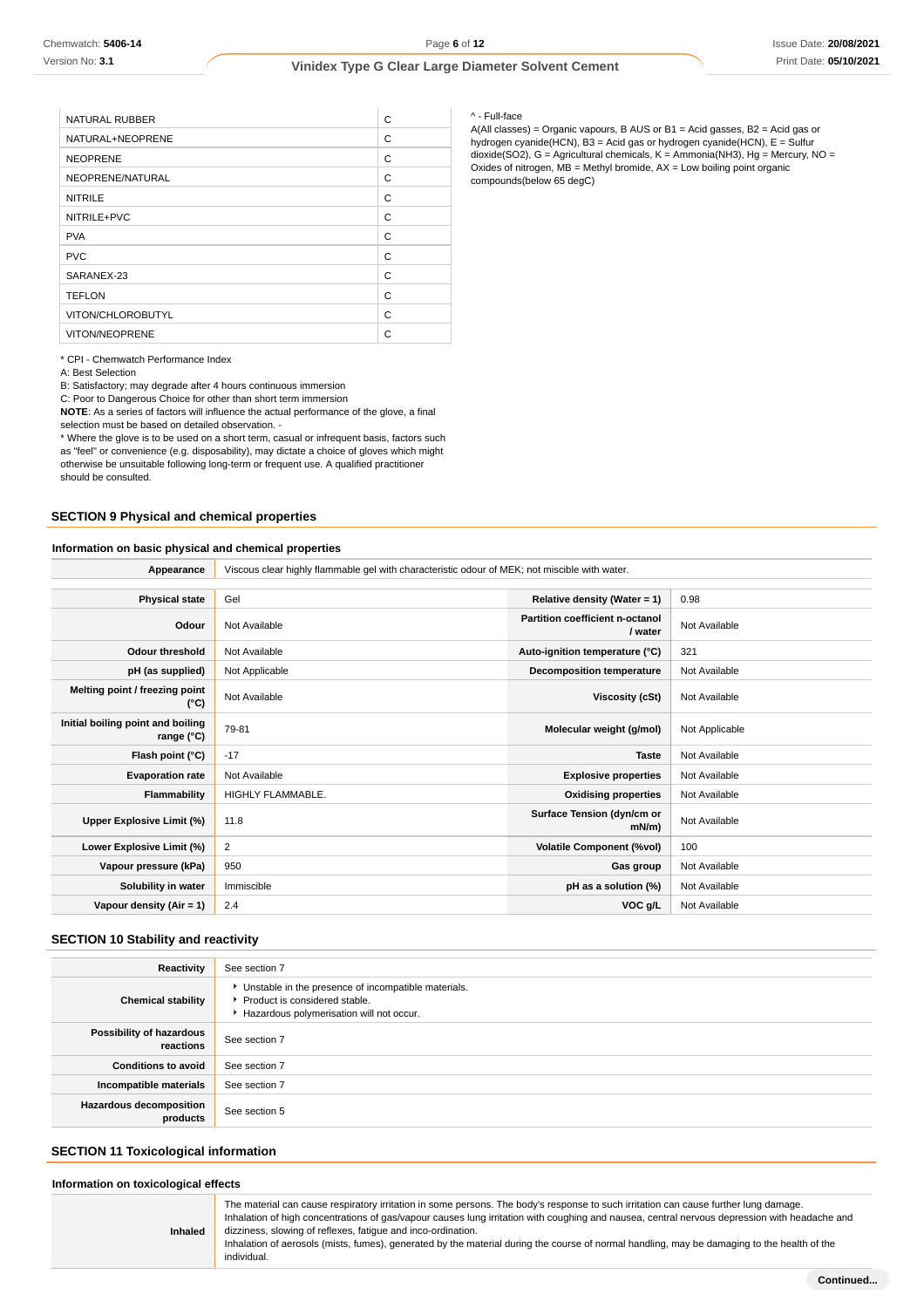| <b>NATURAL RUBBER</b> | C |
|-----------------------|---|
| NATURAL+NEOPRENE      | C |
| <b>NEOPRENE</b>       | C |
| NEOPRENE/NATURAL      | C |
| <b>NITRILE</b>        | C |
| NITRILE+PVC           | C |
| <b>PVA</b>            | C |
| <b>PVC</b>            | C |
| SARANEX-23            | C |
| <b>TEFLON</b>         | C |
| VITON/CHLOROBUTYL     | C |
| VITON/NEOPRENE        | C |

\* CPI - Chemwatch Performance Index

A: Best Selection

B: Satisfactory; may degrade after 4 hours continuous immersion

C: Poor to Dangerous Choice for other than short term immersion

**NOTE**: As a series of factors will influence the actual performance of the glove, a final selection must be based on detailed observation. -

\* Where the glove is to be used on a short term, casual or infrequent basis, factors such as "feel" or convenience (e.g. disposability), may dictate a choice of gloves which might otherwise be unsuitable following long-term or frequent use. A qualified practitioner should be consulted.

### **SECTION 9 Physical and chemical properties**

#### **Information on basic physical and chemical properties**

**Appearance** Viscous clear highly flammable gel with characteristic odour of MEK; not miscible with water.

| <b>Physical state</b>                                    | Gel               | Relative density (Water = $1$ )            | 0.98           |
|----------------------------------------------------------|-------------------|--------------------------------------------|----------------|
| Odour                                                    | Not Available     | Partition coefficient n-octanol<br>/ water | Not Available  |
| <b>Odour threshold</b>                                   | Not Available     | Auto-ignition temperature (°C)             | 321            |
| pH (as supplied)                                         | Not Applicable    | <b>Decomposition temperature</b>           | Not Available  |
| Melting point / freezing point<br>(°C)                   | Not Available     | Viscosity (cSt)                            | Not Available  |
| Initial boiling point and boiling<br>range $(^{\circ}C)$ | 79-81             | Molecular weight (g/mol)                   | Not Applicable |
| Flash point (°C)                                         | $-17$             | <b>Taste</b>                               | Not Available  |
| <b>Evaporation rate</b>                                  | Not Available     | <b>Explosive properties</b>                | Not Available  |
| Flammability                                             | HIGHLY FLAMMABLE. | <b>Oxidising properties</b>                | Not Available  |
| Upper Explosive Limit (%)                                | 11.8              | Surface Tension (dyn/cm or<br>$mN/m$ )     | Not Available  |
| Lower Explosive Limit (%)                                | 2                 | <b>Volatile Component (%vol)</b>           | 100            |
| Vapour pressure (kPa)                                    | 950               | Gas group                                  | Not Available  |
| Solubility in water                                      | Immiscible        | pH as a solution (%)                       | Not Available  |
| Vapour density (Air = 1)                                 | 2.4               | VOC g/L                                    | Not Available  |

#### **SECTION 10 Stability and reactivity**

| Reactivity                                 | See section 7                                                                                                                      |
|--------------------------------------------|------------------------------------------------------------------------------------------------------------------------------------|
| <b>Chemical stability</b>                  | • Unstable in the presence of incompatible materials.<br>Product is considered stable.<br>Hazardous polymerisation will not occur. |
| Possibility of hazardous<br>reactions      | See section 7                                                                                                                      |
| <b>Conditions to avoid</b>                 | See section 7                                                                                                                      |
| Incompatible materials                     | See section 7                                                                                                                      |
| <b>Hazardous decomposition</b><br>products | See section 5                                                                                                                      |

#### **SECTION 11 Toxicological information**

#### **Information on toxicological effects**

| Inhaled | The material can cause respiratory irritation in some persons. The body's response to such irritation can cause further lung damage.<br>Inhalation of high concentrations of gas/vapour causes lung irritation with coughing and nausea, central nervous depression with headache and<br>dizziness, slowing of reflexes, fatigue and inco-ordination.<br>Inhalation of aerosols (mists, fumes), generated by the material during the course of normal handling, may be damaging to the health of the<br>individual. |
|---------|---------------------------------------------------------------------------------------------------------------------------------------------------------------------------------------------------------------------------------------------------------------------------------------------------------------------------------------------------------------------------------------------------------------------------------------------------------------------------------------------------------------------|

#### ^ - Full-face

A(All classes) = Organic vapours, B AUS or B1 = Acid gasses, B2 = Acid gas or hydrogen cyanide(HCN), B3 = Acid gas or hydrogen cyanide(HCN), E = Sulfur dioxide(SO2), G = Agricultural chemicals, K = Ammonia(NH3), Hg = Mercury, NO = Oxides of nitrogen,  $MB =$  Methyl bromide,  $AX =$  Low boiling point organic compounds(below 65 degC)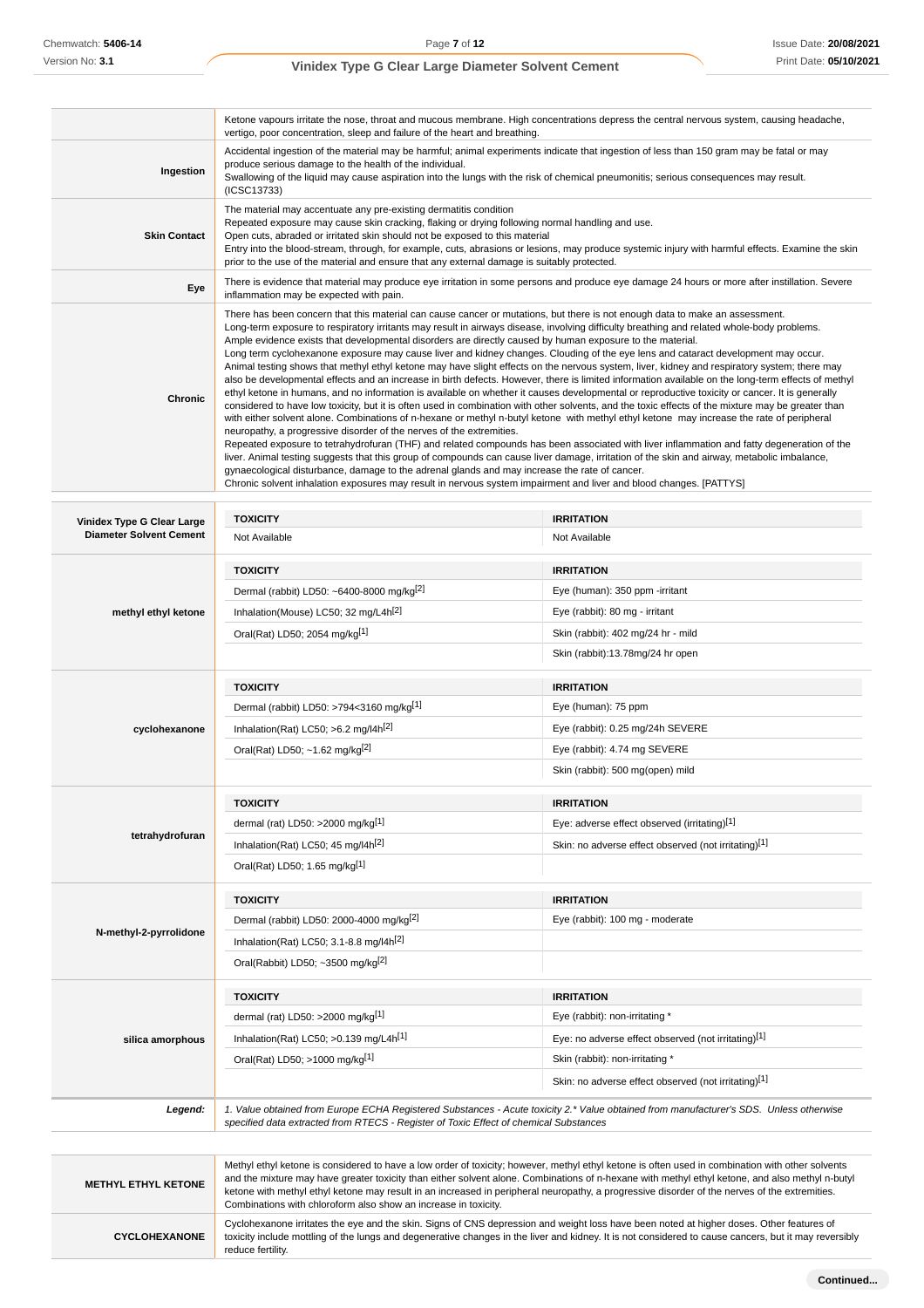$\sim$ 

### **Vinidex Type G Clear Large Diameter Solvent Cement**

|                                                              | vertigo, poor concentration, sleep and failure of the heart and breathing.                                                                                                                                                                                                                                                                                                                                                                                                                              | Ketone vapours irritate the nose, throat and mucous membrane. High concentrations depress the central nervous system, causing headache,                                                                                                                                                                                                                                                                                                                                                                                                                                                                                                                                                                                                                                                                                                                                                                                                                                                                                                                                                                                                                                                                                                                                                                                                                                                                                                                                 |  |
|--------------------------------------------------------------|---------------------------------------------------------------------------------------------------------------------------------------------------------------------------------------------------------------------------------------------------------------------------------------------------------------------------------------------------------------------------------------------------------------------------------------------------------------------------------------------------------|-------------------------------------------------------------------------------------------------------------------------------------------------------------------------------------------------------------------------------------------------------------------------------------------------------------------------------------------------------------------------------------------------------------------------------------------------------------------------------------------------------------------------------------------------------------------------------------------------------------------------------------------------------------------------------------------------------------------------------------------------------------------------------------------------------------------------------------------------------------------------------------------------------------------------------------------------------------------------------------------------------------------------------------------------------------------------------------------------------------------------------------------------------------------------------------------------------------------------------------------------------------------------------------------------------------------------------------------------------------------------------------------------------------------------------------------------------------------------|--|
| Ingestion                                                    | Accidental ingestion of the material may be harmful; animal experiments indicate that ingestion of less than 150 gram may be fatal or may<br>produce serious damage to the health of the individual.<br>Swallowing of the liquid may cause aspiration into the lungs with the risk of chemical pneumonitis; serious consequences may result.<br>(ICSC13733)                                                                                                                                             |                                                                                                                                                                                                                                                                                                                                                                                                                                                                                                                                                                                                                                                                                                                                                                                                                                                                                                                                                                                                                                                                                                                                                                                                                                                                                                                                                                                                                                                                         |  |
| <b>Skin Contact</b>                                          | The material may accentuate any pre-existing dermatitis condition<br>Repeated exposure may cause skin cracking, flaking or drying following normal handling and use.<br>Open cuts, abraded or irritated skin should not be exposed to this material<br>Entry into the blood-stream, through, for example, cuts, abrasions or lesions, may produce systemic injury with harmful effects. Examine the skin<br>prior to the use of the material and ensure that any external damage is suitably protected. |                                                                                                                                                                                                                                                                                                                                                                                                                                                                                                                                                                                                                                                                                                                                                                                                                                                                                                                                                                                                                                                                                                                                                                                                                                                                                                                                                                                                                                                                         |  |
| Eye                                                          | inflammation may be expected with pain.                                                                                                                                                                                                                                                                                                                                                                                                                                                                 | There is evidence that material may produce eye irritation in some persons and produce eye damage 24 hours or more after instillation. Severe                                                                                                                                                                                                                                                                                                                                                                                                                                                                                                                                                                                                                                                                                                                                                                                                                                                                                                                                                                                                                                                                                                                                                                                                                                                                                                                           |  |
| Chronic                                                      | Ample evidence exists that developmental disorders are directly caused by human exposure to the material.<br>neuropathy, a progressive disorder of the nerves of the extremities.<br>gynaecological disturbance, damage to the adrenal glands and may increase the rate of cancer.<br>Chronic solvent inhalation exposures may result in nervous system impairment and liver and blood changes. [PATTYS]                                                                                                | There has been concern that this material can cause cancer or mutations, but there is not enough data to make an assessment.<br>Long-term exposure to respiratory irritants may result in airways disease, involving difficulty breathing and related whole-body problems.<br>Long term cyclohexanone exposure may cause liver and kidney changes. Clouding of the eye lens and cataract development may occur.<br>Animal testing shows that methyl ethyl ketone may have slight effects on the nervous system, liver, kidney and respiratory system; there may<br>also be developmental effects and an increase in birth defects. However, there is limited information available on the long-term effects of methyl<br>ethyl ketone in humans, and no information is available on whether it causes developmental or reproductive toxicity or cancer. It is generally<br>considered to have low toxicity, but it is often used in combination with other solvents, and the toxic effects of the mixture may be greater than<br>with either solvent alone. Combinations of n-hexane or methyl n-butyl ketone with methyl ethyl ketone may increase the rate of peripheral<br>Repeated exposure to tetrahydrofuran (THF) and related compounds has been associated with liver inflammation and fatty degeneration of the<br>liver. Animal testing suggests that this group of compounds can cause liver damage, irritation of the skin and airway, metabolic imbalance, |  |
|                                                              |                                                                                                                                                                                                                                                                                                                                                                                                                                                                                                         |                                                                                                                                                                                                                                                                                                                                                                                                                                                                                                                                                                                                                                                                                                                                                                                                                                                                                                                                                                                                                                                                                                                                                                                                                                                                                                                                                                                                                                                                         |  |
| Vinidex Type G Clear Large<br><b>Diameter Solvent Cement</b> | <b>TOXICITY</b><br>Not Available                                                                                                                                                                                                                                                                                                                                                                                                                                                                        | <b>IRRITATION</b><br>Not Available                                                                                                                                                                                                                                                                                                                                                                                                                                                                                                                                                                                                                                                                                                                                                                                                                                                                                                                                                                                                                                                                                                                                                                                                                                                                                                                                                                                                                                      |  |
|                                                              |                                                                                                                                                                                                                                                                                                                                                                                                                                                                                                         |                                                                                                                                                                                                                                                                                                                                                                                                                                                                                                                                                                                                                                                                                                                                                                                                                                                                                                                                                                                                                                                                                                                                                                                                                                                                                                                                                                                                                                                                         |  |
|                                                              | <b>TOXICITY</b><br>Dermal (rabbit) LD50: ~6400-8000 mg/kg <sup>[2]</sup>                                                                                                                                                                                                                                                                                                                                                                                                                                | <b>IRRITATION</b><br>Eye (human): 350 ppm -irritant                                                                                                                                                                                                                                                                                                                                                                                                                                                                                                                                                                                                                                                                                                                                                                                                                                                                                                                                                                                                                                                                                                                                                                                                                                                                                                                                                                                                                     |  |
|                                                              | Inhalation(Mouse) LC50; 32 mg/L4h <sup>[2]</sup>                                                                                                                                                                                                                                                                                                                                                                                                                                                        | Eye (rabbit): 80 mg - irritant                                                                                                                                                                                                                                                                                                                                                                                                                                                                                                                                                                                                                                                                                                                                                                                                                                                                                                                                                                                                                                                                                                                                                                                                                                                                                                                                                                                                                                          |  |
| methyl ethyl ketone                                          |                                                                                                                                                                                                                                                                                                                                                                                                                                                                                                         | Skin (rabbit): 402 mg/24 hr - mild                                                                                                                                                                                                                                                                                                                                                                                                                                                                                                                                                                                                                                                                                                                                                                                                                                                                                                                                                                                                                                                                                                                                                                                                                                                                                                                                                                                                                                      |  |
|                                                              | Oral(Rat) LD50; 2054 mg/kg[1]                                                                                                                                                                                                                                                                                                                                                                                                                                                                           |                                                                                                                                                                                                                                                                                                                                                                                                                                                                                                                                                                                                                                                                                                                                                                                                                                                                                                                                                                                                                                                                                                                                                                                                                                                                                                                                                                                                                                                                         |  |
|                                                              |                                                                                                                                                                                                                                                                                                                                                                                                                                                                                                         | Skin (rabbit):13.78mg/24 hr open                                                                                                                                                                                                                                                                                                                                                                                                                                                                                                                                                                                                                                                                                                                                                                                                                                                                                                                                                                                                                                                                                                                                                                                                                                                                                                                                                                                                                                        |  |
|                                                              | <b>TOXICITY</b>                                                                                                                                                                                                                                                                                                                                                                                                                                                                                         | <b>IRRITATION</b>                                                                                                                                                                                                                                                                                                                                                                                                                                                                                                                                                                                                                                                                                                                                                                                                                                                                                                                                                                                                                                                                                                                                                                                                                                                                                                                                                                                                                                                       |  |
|                                                              | Dermal (rabbit) LD50: >794<3160 mg/kg <sup>[1]</sup>                                                                                                                                                                                                                                                                                                                                                                                                                                                    | Eye (human): 75 ppm                                                                                                                                                                                                                                                                                                                                                                                                                                                                                                                                                                                                                                                                                                                                                                                                                                                                                                                                                                                                                                                                                                                                                                                                                                                                                                                                                                                                                                                     |  |
| cyclohexanone                                                | Inhalation(Rat) LC50; $>6.2$ mg/l4h <sup>[2]</sup>                                                                                                                                                                                                                                                                                                                                                                                                                                                      | Eye (rabbit): 0.25 mg/24h SEVERE                                                                                                                                                                                                                                                                                                                                                                                                                                                                                                                                                                                                                                                                                                                                                                                                                                                                                                                                                                                                                                                                                                                                                                                                                                                                                                                                                                                                                                        |  |
|                                                              | Eye (rabbit): 4.74 mg SEVERE<br>Oral(Rat) LD50; ~1.62 mg/kg <sup>[2]</sup>                                                                                                                                                                                                                                                                                                                                                                                                                              |                                                                                                                                                                                                                                                                                                                                                                                                                                                                                                                                                                                                                                                                                                                                                                                                                                                                                                                                                                                                                                                                                                                                                                                                                                                                                                                                                                                                                                                                         |  |
|                                                              |                                                                                                                                                                                                                                                                                                                                                                                                                                                                                                         | Skin (rabbit): 500 mg(open) mild                                                                                                                                                                                                                                                                                                                                                                                                                                                                                                                                                                                                                                                                                                                                                                                                                                                                                                                                                                                                                                                                                                                                                                                                                                                                                                                                                                                                                                        |  |
|                                                              | <b>TOXICITY</b>                                                                                                                                                                                                                                                                                                                                                                                                                                                                                         | <b>IRRITATION</b>                                                                                                                                                                                                                                                                                                                                                                                                                                                                                                                                                                                                                                                                                                                                                                                                                                                                                                                                                                                                                                                                                                                                                                                                                                                                                                                                                                                                                                                       |  |
|                                                              | dermal (rat) LD50: >2000 mg/kg[1]                                                                                                                                                                                                                                                                                                                                                                                                                                                                       | Eye: adverse effect observed (irritating)[1]                                                                                                                                                                                                                                                                                                                                                                                                                                                                                                                                                                                                                                                                                                                                                                                                                                                                                                                                                                                                                                                                                                                                                                                                                                                                                                                                                                                                                            |  |
| tetrahydrofuran                                              | Inhalation(Rat) LC50; 45 mg/l4h <sup>[2]</sup>                                                                                                                                                                                                                                                                                                                                                                                                                                                          | Skin: no adverse effect observed (not irritating)[1]                                                                                                                                                                                                                                                                                                                                                                                                                                                                                                                                                                                                                                                                                                                                                                                                                                                                                                                                                                                                                                                                                                                                                                                                                                                                                                                                                                                                                    |  |
|                                                              | Oral(Rat) LD50; 1.65 mg/kg[1]                                                                                                                                                                                                                                                                                                                                                                                                                                                                           |                                                                                                                                                                                                                                                                                                                                                                                                                                                                                                                                                                                                                                                                                                                                                                                                                                                                                                                                                                                                                                                                                                                                                                                                                                                                                                                                                                                                                                                                         |  |
|                                                              | <b>TOXICITY</b>                                                                                                                                                                                                                                                                                                                                                                                                                                                                                         | <b>IRRITATION</b>                                                                                                                                                                                                                                                                                                                                                                                                                                                                                                                                                                                                                                                                                                                                                                                                                                                                                                                                                                                                                                                                                                                                                                                                                                                                                                                                                                                                                                                       |  |
|                                                              | Dermal (rabbit) LD50: 2000-4000 mg/kg <sup>[2]</sup>                                                                                                                                                                                                                                                                                                                                                                                                                                                    | Eye (rabbit): 100 mg - moderate                                                                                                                                                                                                                                                                                                                                                                                                                                                                                                                                                                                                                                                                                                                                                                                                                                                                                                                                                                                                                                                                                                                                                                                                                                                                                                                                                                                                                                         |  |
| N-methyl-2-pyrrolidone                                       | Inhalation(Rat) LC50; 3.1-8.8 mg/l4h <sup>[2]</sup>                                                                                                                                                                                                                                                                                                                                                                                                                                                     |                                                                                                                                                                                                                                                                                                                                                                                                                                                                                                                                                                                                                                                                                                                                                                                                                                                                                                                                                                                                                                                                                                                                                                                                                                                                                                                                                                                                                                                                         |  |
|                                                              | Oral(Rabbit) LD50; ~3500 mg/kg $[2]$                                                                                                                                                                                                                                                                                                                                                                                                                                                                    |                                                                                                                                                                                                                                                                                                                                                                                                                                                                                                                                                                                                                                                                                                                                                                                                                                                                                                                                                                                                                                                                                                                                                                                                                                                                                                                                                                                                                                                                         |  |
|                                                              |                                                                                                                                                                                                                                                                                                                                                                                                                                                                                                         |                                                                                                                                                                                                                                                                                                                                                                                                                                                                                                                                                                                                                                                                                                                                                                                                                                                                                                                                                                                                                                                                                                                                                                                                                                                                                                                                                                                                                                                                         |  |
|                                                              | <b>TOXICITY</b>                                                                                                                                                                                                                                                                                                                                                                                                                                                                                         | <b>IRRITATION</b><br>Eye (rabbit): non-irritating *                                                                                                                                                                                                                                                                                                                                                                                                                                                                                                                                                                                                                                                                                                                                                                                                                                                                                                                                                                                                                                                                                                                                                                                                                                                                                                                                                                                                                     |  |
|                                                              | dermal (rat) LD50: >2000 mg/kg[1]                                                                                                                                                                                                                                                                                                                                                                                                                                                                       |                                                                                                                                                                                                                                                                                                                                                                                                                                                                                                                                                                                                                                                                                                                                                                                                                                                                                                                                                                                                                                                                                                                                                                                                                                                                                                                                                                                                                                                                         |  |
| silica amorphous                                             | Inhalation(Rat) LC50; >0.139 mg/L4h <sup>[1]</sup>                                                                                                                                                                                                                                                                                                                                                                                                                                                      | Eye: no adverse effect observed (not irritating)[1]                                                                                                                                                                                                                                                                                                                                                                                                                                                                                                                                                                                                                                                                                                                                                                                                                                                                                                                                                                                                                                                                                                                                                                                                                                                                                                                                                                                                                     |  |
|                                                              | Oral(Rat) LD50; >1000 mg/kg[1]                                                                                                                                                                                                                                                                                                                                                                                                                                                                          | Skin (rabbit): non-irritating *                                                                                                                                                                                                                                                                                                                                                                                                                                                                                                                                                                                                                                                                                                                                                                                                                                                                                                                                                                                                                                                                                                                                                                                                                                                                                                                                                                                                                                         |  |
|                                                              |                                                                                                                                                                                                                                                                                                                                                                                                                                                                                                         | Skin: no adverse effect observed (not irritating)[1]                                                                                                                                                                                                                                                                                                                                                                                                                                                                                                                                                                                                                                                                                                                                                                                                                                                                                                                                                                                                                                                                                                                                                                                                                                                                                                                                                                                                                    |  |
| Legend:                                                      | specified data extracted from RTECS - Register of Toxic Effect of chemical Substances                                                                                                                                                                                                                                                                                                                                                                                                                   | 1. Value obtained from Europe ECHA Registered Substances - Acute toxicity 2.* Value obtained from manufacturer's SDS. Unless otherwise                                                                                                                                                                                                                                                                                                                                                                                                                                                                                                                                                                                                                                                                                                                                                                                                                                                                                                                                                                                                                                                                                                                                                                                                                                                                                                                                  |  |
|                                                              |                                                                                                                                                                                                                                                                                                                                                                                                                                                                                                         |                                                                                                                                                                                                                                                                                                                                                                                                                                                                                                                                                                                                                                                                                                                                                                                                                                                                                                                                                                                                                                                                                                                                                                                                                                                                                                                                                                                                                                                                         |  |
| <b>METHYL ETHYL KETONE</b>                                   | Combinations with chloroform also show an increase in toxicity.                                                                                                                                                                                                                                                                                                                                                                                                                                         | Methyl ethyl ketone is considered to have a low order of toxicity; however, methyl ethyl ketone is often used in combination with other solvents<br>and the mixture may have greater toxicity than either solvent alone. Combinations of n-hexane with methyl ethyl ketone, and also methyl n-butyl<br>ketone with methyl ethyl ketone may result in an increased in peripheral neuropathy, a progressive disorder of the nerves of the extremities.                                                                                                                                                                                                                                                                                                                                                                                                                                                                                                                                                                                                                                                                                                                                                                                                                                                                                                                                                                                                                    |  |
| <b>CYCLOHEXANONE</b>                                         | Cyclohexanone irritates the eye and the skin. Signs of CNS depression and weight loss have been noted at higher doses. Other features of<br>toxicity include mottling of the lungs and degenerative changes in the liver and kidney. It is not considered to cause cancers, but it may reversibly<br>reduce fertility.                                                                                                                                                                                  |                                                                                                                                                                                                                                                                                                                                                                                                                                                                                                                                                                                                                                                                                                                                                                                                                                                                                                                                                                                                                                                                                                                                                                                                                                                                                                                                                                                                                                                                         |  |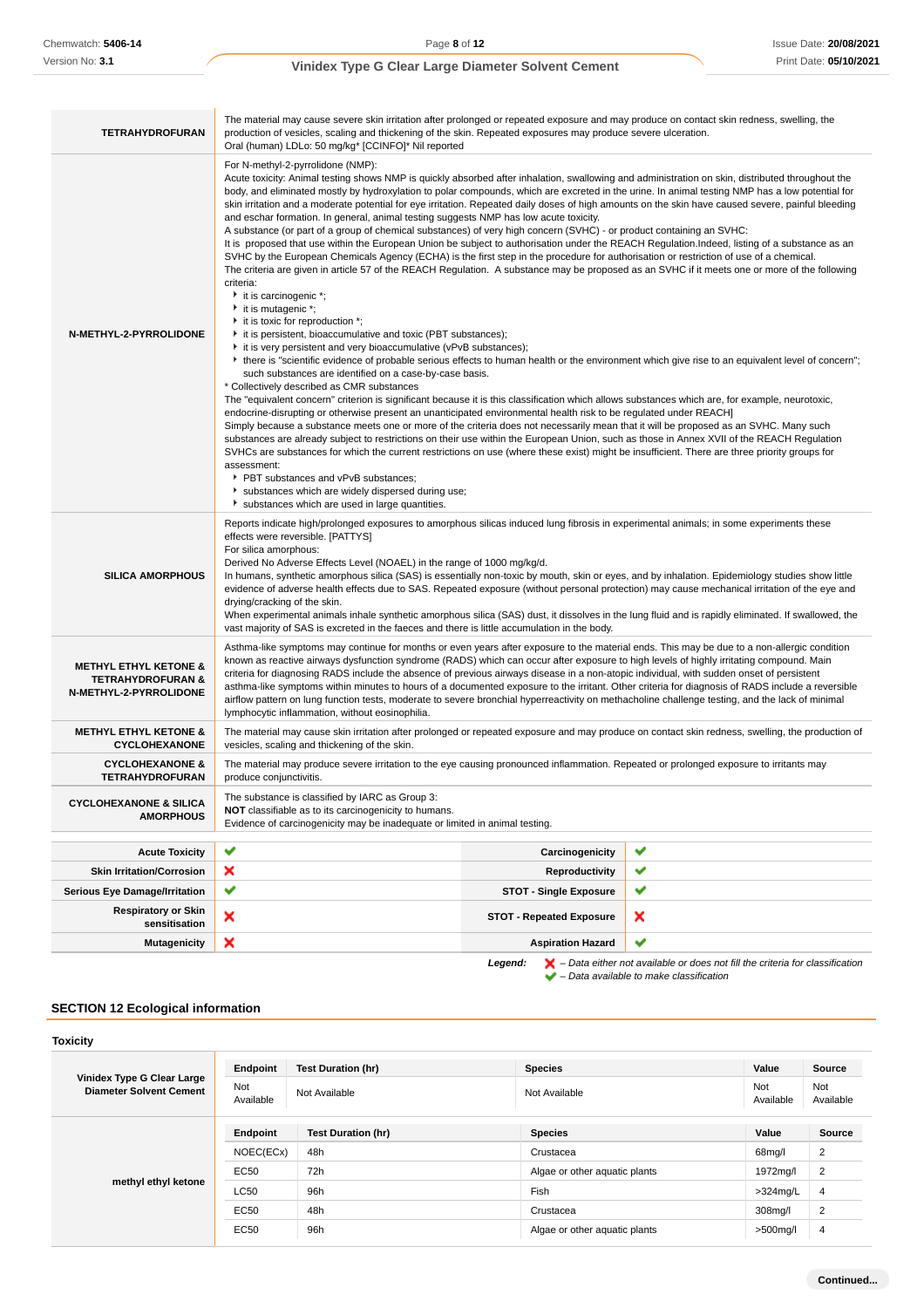| <b>TETRAHYDROFURAN</b>                                                                     | The material may cause severe skin irritation after prolonged or repeated exposure and may produce on contact skin redness, swelling, the<br>production of vesicles, scaling and thickening of the skin. Repeated exposures may produce severe ulceration.<br>Oral (human) LDLo: 50 mg/kg* [CCINFO]* Nil reported                                                                                                                                                                                                                                                                                                                                                                                                                                                                                                                                                                                                                                                                                                                                                                                                                                                                                                                                                                                                                                                                                                                                                                                                                                                                                                                                                                                                                                                                                                                                                                                                                                                                                                                                                                                                                                                                                                                                                                                                                                                                                                                                                                                                                            |   |  |  |
|--------------------------------------------------------------------------------------------|----------------------------------------------------------------------------------------------------------------------------------------------------------------------------------------------------------------------------------------------------------------------------------------------------------------------------------------------------------------------------------------------------------------------------------------------------------------------------------------------------------------------------------------------------------------------------------------------------------------------------------------------------------------------------------------------------------------------------------------------------------------------------------------------------------------------------------------------------------------------------------------------------------------------------------------------------------------------------------------------------------------------------------------------------------------------------------------------------------------------------------------------------------------------------------------------------------------------------------------------------------------------------------------------------------------------------------------------------------------------------------------------------------------------------------------------------------------------------------------------------------------------------------------------------------------------------------------------------------------------------------------------------------------------------------------------------------------------------------------------------------------------------------------------------------------------------------------------------------------------------------------------------------------------------------------------------------------------------------------------------------------------------------------------------------------------------------------------------------------------------------------------------------------------------------------------------------------------------------------------------------------------------------------------------------------------------------------------------------------------------------------------------------------------------------------------------------------------------------------------------------------------------------------------|---|--|--|
| N-METHYL-2-PYRROLIDONE                                                                     | For N-methyl-2-pyrrolidone (NMP):<br>Acute toxicity: Animal testing shows NMP is quickly absorbed after inhalation, swallowing and administration on skin, distributed throughout the<br>body, and eliminated mostly by hydroxylation to polar compounds, which are excreted in the urine. In animal testing NMP has a low potential for<br>skin irritation and a moderate potential for eye irritation. Repeated daily doses of high amounts on the skin have caused severe, painful bleeding<br>and eschar formation. In general, animal testing suggests NMP has low acute toxicity.<br>A substance (or part of a group of chemical substances) of very high concern (SVHC) - or product containing an SVHC:<br>It is proposed that use within the European Union be subject to authorisation under the REACH Regulation.Indeed, listing of a substance as an<br>SVHC by the European Chemicals Agency (ECHA) is the first step in the procedure for authorisation or restriction of use of a chemical.<br>The criteria are given in article 57 of the REACH Regulation. A substance may be proposed as an SVHC if it meets one or more of the following<br>criteria:<br>it is carcinogenic *;<br>it is mutagenic *;<br>it is toxic for reproduction *;<br>it is persistent, bioaccumulative and toxic (PBT substances);<br>it is very persistent and very bioaccumulative (vPvB substances);<br>▶ there is "scientific evidence of probable serious effects to human health or the environment which give rise to an equivalent level of concern";<br>such substances are identified on a case-by-case basis.<br>* Collectively described as CMR substances<br>The "equivalent concern" criterion is significant because it is this classification which allows substances which are, for example, neurotoxic,<br>endocrine-disrupting or otherwise present an unanticipated environmental health risk to be regulated under REACH]<br>Simply because a substance meets one or more of the criteria does not necessarily mean that it will be proposed as an SVHC. Many such<br>substances are already subject to restrictions on their use within the European Union, such as those in Annex XVII of the REACH Regulation<br>SVHCs are substances for which the current restrictions on use (where these exist) might be insufficient. There are three priority groups for<br>assessment:<br>PBT substances and vPvB substances;<br>substances which are widely dispersed during use;<br>substances which are used in large quantities. |   |  |  |
| <b>SILICA AMORPHOUS</b>                                                                    | Reports indicate high/prolonged exposures to amorphous silicas induced lung fibrosis in experimental animals; in some experiments these<br>effects were reversible. [PATTYS]<br>For silica amorphous:<br>Derived No Adverse Effects Level (NOAEL) in the range of 1000 mg/kg/d.<br>In humans, synthetic amorphous silica (SAS) is essentially non-toxic by mouth, skin or eyes, and by inhalation. Epidemiology studies show little<br>evidence of adverse health effects due to SAS. Repeated exposure (without personal protection) may cause mechanical irritation of the eye and<br>drying/cracking of the skin.<br>When experimental animals inhale synthetic amorphous silica (SAS) dust, it dissolves in the lung fluid and is rapidly eliminated. If swallowed, the<br>vast majority of SAS is excreted in the faeces and there is little accumulation in the body.                                                                                                                                                                                                                                                                                                                                                                                                                                                                                                                                                                                                                                                                                                                                                                                                                                                                                                                                                                                                                                                                                                                                                                                                                                                                                                                                                                                                                                                                                                                                                                                                                                                                  |   |  |  |
| <b>METHYL ETHYL KETONE &amp;</b><br><b>TETRAHYDROFURAN &amp;</b><br>N-METHYL-2-PYRROLIDONE | Asthma-like symptoms may continue for months or even years after exposure to the material ends. This may be due to a non-allergic condition<br>known as reactive airways dysfunction syndrome (RADS) which can occur after exposure to high levels of highly irritating compound. Main<br>criteria for diagnosing RADS include the absence of previous airways disease in a non-atopic individual, with sudden onset of persistent<br>asthma-like symptoms within minutes to hours of a documented exposure to the irritant. Other criteria for diagnosis of RADS include a reversible<br>airflow pattern on lung function tests, moderate to severe bronchial hyperreactivity on methacholine challenge testing, and the lack of minimal<br>lymphocytic inflammation, without eosinophilia.                                                                                                                                                                                                                                                                                                                                                                                                                                                                                                                                                                                                                                                                                                                                                                                                                                                                                                                                                                                                                                                                                                                                                                                                                                                                                                                                                                                                                                                                                                                                                                                                                                                                                                                                                 |   |  |  |
| <b>METHYL ETHYL KETONE &amp;</b><br><b>CYCLOHEXANONE</b>                                   | The material may cause skin irritation after prolonged or repeated exposure and may produce on contact skin redness, swelling, the production of<br>vesicles, scaling and thickening of the skin.                                                                                                                                                                                                                                                                                                                                                                                                                                                                                                                                                                                                                                                                                                                                                                                                                                                                                                                                                                                                                                                                                                                                                                                                                                                                                                                                                                                                                                                                                                                                                                                                                                                                                                                                                                                                                                                                                                                                                                                                                                                                                                                                                                                                                                                                                                                                            |   |  |  |
| <b>CYCLOHEXANONE &amp;</b><br><b>TETRAHYDROFURAN</b>                                       | The material may produce severe irritation to the eye causing pronounced inflammation. Repeated or prolonged exposure to irritants may<br>produce conjunctivitis.                                                                                                                                                                                                                                                                                                                                                                                                                                                                                                                                                                                                                                                                                                                                                                                                                                                                                                                                                                                                                                                                                                                                                                                                                                                                                                                                                                                                                                                                                                                                                                                                                                                                                                                                                                                                                                                                                                                                                                                                                                                                                                                                                                                                                                                                                                                                                                            |   |  |  |
| <b>CYCLOHEXANONE &amp; SILICA</b><br><b>AMORPHOUS</b>                                      | The substance is classified by IARC as Group 3:<br>NOT classifiable as to its carcinogenicity to humans.<br>Evidence of carcinogenicity may be inadequate or limited in animal testing.                                                                                                                                                                                                                                                                                                                                                                                                                                                                                                                                                                                                                                                                                                                                                                                                                                                                                                                                                                                                                                                                                                                                                                                                                                                                                                                                                                                                                                                                                                                                                                                                                                                                                                                                                                                                                                                                                                                                                                                                                                                                                                                                                                                                                                                                                                                                                      |   |  |  |
| <b>Acute Toxicity</b>                                                                      | ✔<br>✔<br>Carcinogenicity                                                                                                                                                                                                                                                                                                                                                                                                                                                                                                                                                                                                                                                                                                                                                                                                                                                                                                                                                                                                                                                                                                                                                                                                                                                                                                                                                                                                                                                                                                                                                                                                                                                                                                                                                                                                                                                                                                                                                                                                                                                                                                                                                                                                                                                                                                                                                                                                                                                                                                                    |   |  |  |
| <b>Skin Irritation/Corrosion</b>                                                           | ×<br><b>Reproductivity</b>                                                                                                                                                                                                                                                                                                                                                                                                                                                                                                                                                                                                                                                                                                                                                                                                                                                                                                                                                                                                                                                                                                                                                                                                                                                                                                                                                                                                                                                                                                                                                                                                                                                                                                                                                                                                                                                                                                                                                                                                                                                                                                                                                                                                                                                                                                                                                                                                                                                                                                                   | ✔ |  |  |
| <b>Serious Eye Damage/Irritation</b>                                                       | ✔<br><b>STOT - Single Exposure</b>                                                                                                                                                                                                                                                                                                                                                                                                                                                                                                                                                                                                                                                                                                                                                                                                                                                                                                                                                                                                                                                                                                                                                                                                                                                                                                                                                                                                                                                                                                                                                                                                                                                                                                                                                                                                                                                                                                                                                                                                                                                                                                                                                                                                                                                                                                                                                                                                                                                                                                           | ✔ |  |  |
| <b>Respiratory or Skin</b><br>sensitisation                                                | ×<br>×<br><b>STOT - Repeated Exposure</b>                                                                                                                                                                                                                                                                                                                                                                                                                                                                                                                                                                                                                                                                                                                                                                                                                                                                                                                                                                                                                                                                                                                                                                                                                                                                                                                                                                                                                                                                                                                                                                                                                                                                                                                                                                                                                                                                                                                                                                                                                                                                                                                                                                                                                                                                                                                                                                                                                                                                                                    |   |  |  |
| <b>Mutagenicity</b>                                                                        | ×<br><b>Aspiration Hazard</b>                                                                                                                                                                                                                                                                                                                                                                                                                                                                                                                                                                                                                                                                                                                                                                                                                                                                                                                                                                                                                                                                                                                                                                                                                                                                                                                                                                                                                                                                                                                                                                                                                                                                                                                                                                                                                                                                                                                                                                                                                                                                                                                                                                                                                                                                                                                                                                                                                                                                                                                | ✔ |  |  |

#### **Legend:**  $\mathbf{X}$  – Data either not available or does not fill the criteria for classification – Data available to make classification

## **SECTION 12 Ecological information**

| <b>Toxicity</b>                                              |                         |                           |                               |                  |                  |
|--------------------------------------------------------------|-------------------------|---------------------------|-------------------------------|------------------|------------------|
|                                                              | Endpoint                | <b>Test Duration (hr)</b> | <b>Species</b>                | Value            | Source           |
| Vinidex Type G Clear Large<br><b>Diameter Solvent Cement</b> | <b>Not</b><br>Available | Not Available             | Not Available                 | Not<br>Available | Not<br>Available |
|                                                              | Endpoint                | <b>Test Duration (hr)</b> | <b>Species</b>                | Value            | Source           |
|                                                              | NOEC(ECx)               | 48h                       | Crustacea                     | 68mg/l           | $\overline{2}$   |
|                                                              | EC50                    | 72h                       | Algae or other aquatic plants | 1972mg/l         | $\overline{2}$   |
| methyl ethyl ketone                                          | <b>LC50</b>             | 96h                       | Fish                          | $>324$ mg/L      | $\overline{4}$   |
|                                                              | EC50                    | 48h                       | Crustacea                     | 308mg/l          | $\overline{2}$   |
|                                                              | EC50                    | 96h                       | Algae or other aquatic plants | >500mg/l         | 4                |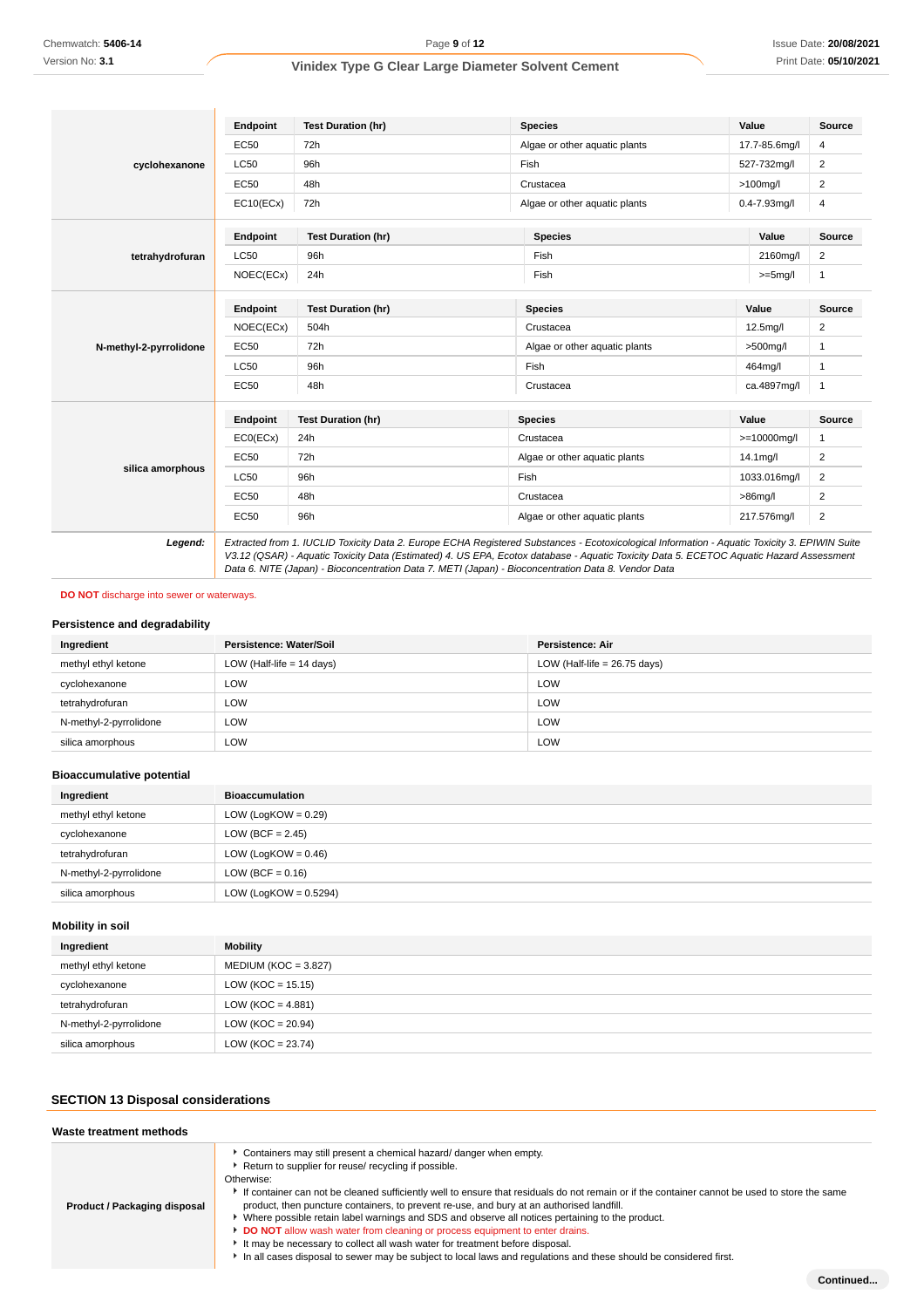|                        | Endpoint    | <b>Test Duration (hr)</b> | <b>Species</b>                                                                                                                                                                                                                                                                                                                                                                                  | Value                 | Source                  |
|------------------------|-------------|---------------------------|-------------------------------------------------------------------------------------------------------------------------------------------------------------------------------------------------------------------------------------------------------------------------------------------------------------------------------------------------------------------------------------------------|-----------------------|-------------------------|
|                        | EC50        | 72h                       | Algae or other aquatic plants                                                                                                                                                                                                                                                                                                                                                                   | 17.7-85.6mg/l         | 4                       |
| cyclohexanone          | <b>LC50</b> | 96h                       | Fish                                                                                                                                                                                                                                                                                                                                                                                            | 527-732mg/l           | $\overline{2}$          |
|                        | <b>EC50</b> | 48h                       | Crustacea                                                                                                                                                                                                                                                                                                                                                                                       | $>100$ mg/l           | $\overline{2}$          |
|                        | EC10(ECx)   | 72h                       | Algae or other aquatic plants                                                                                                                                                                                                                                                                                                                                                                   | $0.4 - 7.93$ mg/l     | 4                       |
|                        | Endpoint    | <b>Test Duration (hr)</b> | <b>Species</b>                                                                                                                                                                                                                                                                                                                                                                                  | Value                 | Source                  |
| tetrahydrofuran        | <b>LC50</b> | 96h                       | Fish                                                                                                                                                                                                                                                                                                                                                                                            | 2160mg/l              | 2                       |
|                        | NOEC(ECx)   | 24h                       | Fish                                                                                                                                                                                                                                                                                                                                                                                            | $>=5mg/l$             | $\mathbf{1}$            |
|                        | Endpoint    | <b>Test Duration (hr)</b> | <b>Species</b>                                                                                                                                                                                                                                                                                                                                                                                  | Value                 | <b>Source</b>           |
| N-methyl-2-pyrrolidone | NOEC(ECx)   | 504h                      | Crustacea                                                                                                                                                                                                                                                                                                                                                                                       | 12.5 <sub>mq</sub> /I | $\overline{2}$          |
|                        | <b>EC50</b> | 72h                       | Algae or other aquatic plants                                                                                                                                                                                                                                                                                                                                                                   | $>500$ mg/l           | $\mathbf{1}$            |
|                        | <b>LC50</b> | 96h                       | Fish                                                                                                                                                                                                                                                                                                                                                                                            | 464mg/l               | $\mathbf{1}$            |
|                        | <b>EC50</b> | 48h                       | Crustacea                                                                                                                                                                                                                                                                                                                                                                                       | ca.4897mg/l           | 1                       |
|                        | Endpoint    | <b>Test Duration (hr)</b> | <b>Species</b>                                                                                                                                                                                                                                                                                                                                                                                  | Value                 | Source                  |
|                        | ECO(ECx)    | 24h                       | Crustacea                                                                                                                                                                                                                                                                                                                                                                                       | $>=10000$ mg/l        | 1                       |
|                        | <b>EC50</b> | 72h                       | Algae or other aquatic plants                                                                                                                                                                                                                                                                                                                                                                   | 14.1 <sub>mq</sub> /I | 2                       |
| silica amorphous       | <b>LC50</b> | 96h                       | Fish                                                                                                                                                                                                                                                                                                                                                                                            | 1033.016mg/l          | $\overline{2}$          |
|                        | <b>EC50</b> | 48h                       | Crustacea                                                                                                                                                                                                                                                                                                                                                                                       | $>86$ mg/l            | 2                       |
|                        | <b>EC50</b> | 96h                       | Algae or other aquatic plants                                                                                                                                                                                                                                                                                                                                                                   | 217.576mg/l           | $\overline{\mathbf{c}}$ |
| Legend:                |             |                           | Extracted from 1. IUCLID Toxicity Data 2. Europe ECHA Registered Substances - Ecotoxicological Information - Aquatic Toxicity 3. EPIWIN Suite<br>V3.12 (QSAR) - Aquatic Toxicity Data (Estimated) 4. US EPA, Ecotox database - Aquatic Toxicity Data 5. ECETOC Aquatic Hazard Assessment<br>Data 6. NITE (Japan) - Bioconcentration Data 7. METI (Japan) - Bioconcentration Data 8. Vendor Data |                       |                         |

**DO NOT** discharge into sewer or waterways.

### **Persistence and degradability**

| Ingredient             | Persistence: Water/Soil     | Persistence: Air               |
|------------------------|-----------------------------|--------------------------------|
| methyl ethyl ketone    | LOW (Half-life $= 14$ days) | LOW (Half-life = $26.75$ days) |
| cyclohexanone          | LOW                         | LOW                            |
| tetrahydrofuran        | LOW                         | LOW                            |
| N-methyl-2-pyrrolidone | LOW                         | LOW                            |
| silica amorphous       | LOW                         | LOW                            |

#### **Bioaccumulative potential**

| Ingredient             | <b>Bioaccumulation</b>   |
|------------------------|--------------------------|
| methyl ethyl ketone    | LOW (LogKOW = $0.29$ )   |
| cyclohexanone          | LOW (BCF = $2.45$ )      |
| tetrahydrofuran        | LOW (LogKOW = $0.46$ )   |
| N-methyl-2-pyrrolidone | LOW (BCF = $0.16$ )      |
| silica amorphous       | LOW (LogKOW = $0.5294$ ) |

### **Mobility in soil**

| Ingredient             | <b>Mobility</b>        |
|------------------------|------------------------|
| methyl ethyl ketone    | $MEDIUM (KOC = 3.827)$ |
| cyclohexanone          | $LOW (KOC = 15.15)$    |
| tetrahydrofuran        | LOW (KOC = $4.881$ )   |
| N-methyl-2-pyrrolidone | $LOW (KOC = 20.94)$    |
| silica amorphous       | $LOW (KOC = 23.74)$    |

### **SECTION 13 Disposal considerations**

| Waste treatment methods      |                                                                                                                                                                                                                                                                                                                                                                                                                                                                                                                                                                                                                                                                                                                                                                               |
|------------------------------|-------------------------------------------------------------------------------------------------------------------------------------------------------------------------------------------------------------------------------------------------------------------------------------------------------------------------------------------------------------------------------------------------------------------------------------------------------------------------------------------------------------------------------------------------------------------------------------------------------------------------------------------------------------------------------------------------------------------------------------------------------------------------------|
| Product / Packaging disposal | Containers may still present a chemical hazard/ danger when empty.<br>Return to supplier for reuse/ recycling if possible.<br>Otherwise:<br>If container can not be cleaned sufficiently well to ensure that residuals do not remain or if the container cannot be used to store the same<br>product, then puncture containers, to prevent re-use, and bury at an authorised landfill.<br>Where possible retain label warnings and SDS and observe all notices pertaining to the product.<br>DO NOT allow wash water from cleaning or process equipment to enter drains.<br>It may be necessary to collect all wash water for treatment before disposal.<br>In all cases disposal to sewer may be subject to local laws and regulations and these should be considered first. |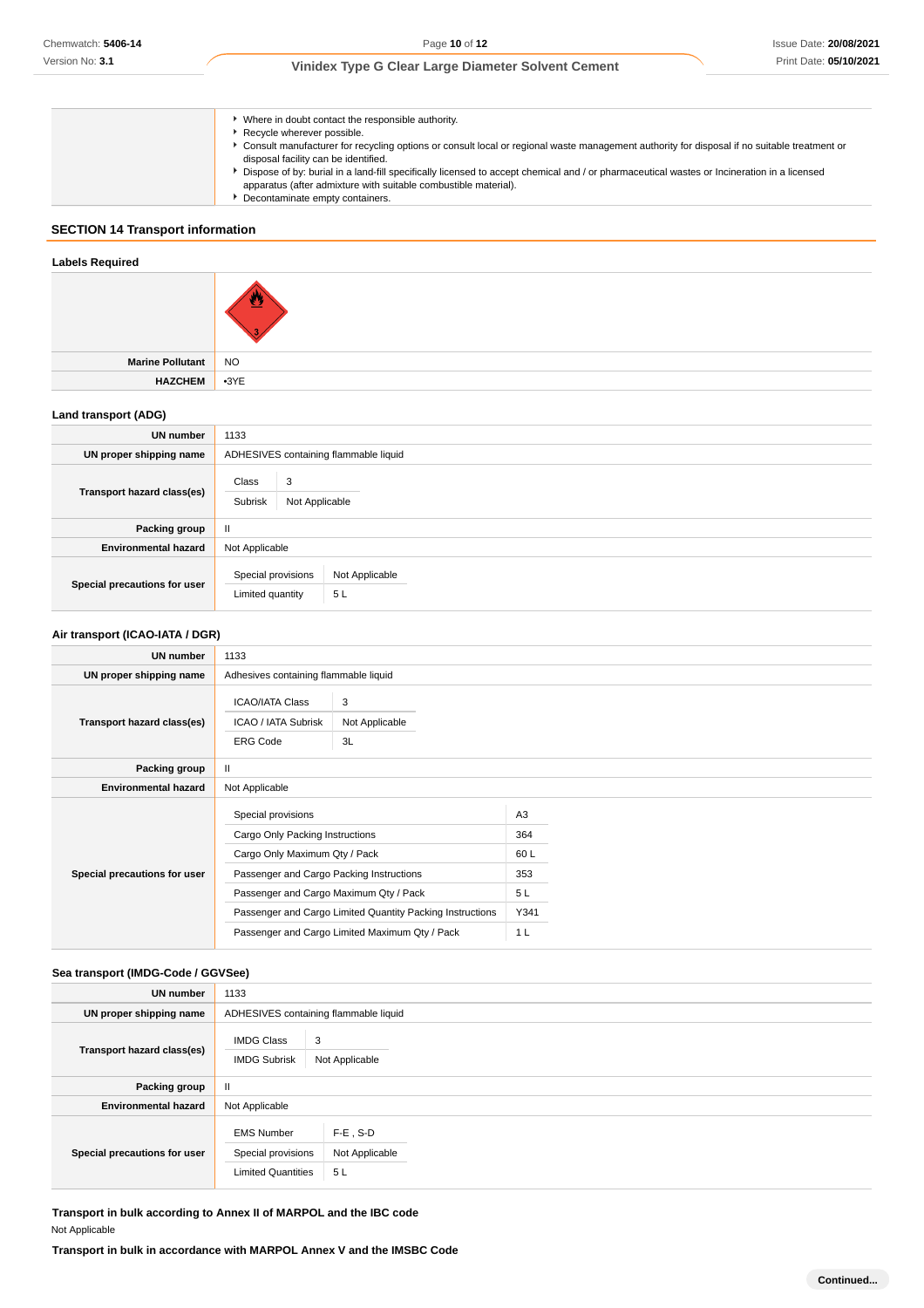| Where in doubt contact the responsible authority.                                                                                                                                                             |
|---------------------------------------------------------------------------------------------------------------------------------------------------------------------------------------------------------------|
| Recycle wherever possible.                                                                                                                                                                                    |
| Consult manufacturer for recycling options or consult local or regional waste management authority for disposal if no suitable treatment or<br>disposal facility can be identified.                           |
| Dispose of by: burial in a land-fill specifically licensed to accept chemical and / or pharmaceutical wastes or Incineration in a licensed<br>apparatus (after admixture with suitable combustible material). |
| Decontaminate empty containers.                                                                                                                                                                               |

### **SECTION 14 Transport information**

# **Labels Required Marine Pollutant** NO **HAZCHEM** •3YE **Land transport (ADG) UN number** 1133 **UN proper shipping name** ADHESIVES containing flammable liquid **Transport hazard class(es)** Class 3 Subrisk Not Applicable

| Packing group                |                                        |                       |  |
|------------------------------|----------------------------------------|-----------------------|--|
| <b>Environmental hazard</b>  | Not Applicable                         |                       |  |
| Special precautions for user | Special provisions<br>Limited quantity | Not Applicable<br>5 L |  |

#### **Air transport (ICAO-IATA / DGR)**

| <b>UN number</b>             | 1133                                                                                                                                                                                                                                                                                        |                           |                                                         |  |
|------------------------------|---------------------------------------------------------------------------------------------------------------------------------------------------------------------------------------------------------------------------------------------------------------------------------------------|---------------------------|---------------------------------------------------------|--|
| UN proper shipping name      | Adhesives containing flammable liquid                                                                                                                                                                                                                                                       |                           |                                                         |  |
| Transport hazard class(es)   | <b>ICAO/IATA Class</b><br>ICAO / IATA Subrisk<br><b>ERG Code</b>                                                                                                                                                                                                                            | 3<br>Not Applicable<br>3L |                                                         |  |
| Packing group                | Ш                                                                                                                                                                                                                                                                                           |                           |                                                         |  |
| <b>Environmental hazard</b>  | Not Applicable                                                                                                                                                                                                                                                                              |                           |                                                         |  |
| Special precautions for user | Special provisions<br>Cargo Only Packing Instructions<br>Cargo Only Maximum Qty / Pack<br>Passenger and Cargo Packing Instructions<br>Passenger and Cargo Maximum Qty / Pack<br>Passenger and Cargo Limited Quantity Packing Instructions<br>Passenger and Cargo Limited Maximum Qty / Pack |                           | A3<br>364<br>60L<br>353<br>5L<br>Y341<br>1 <sub>L</sub> |  |

### **Sea transport (IMDG-Code / GGVSee)**

| UN number                    | 1133                                                                 |                                     |  |
|------------------------------|----------------------------------------------------------------------|-------------------------------------|--|
| UN proper shipping name      | ADHESIVES containing flammable liquid                                |                                     |  |
| Transport hazard class(es)   | <b>IMDG Class</b><br><b>IMDG Subrisk</b>                             | 3<br>Not Applicable                 |  |
| Packing group                | $\mathbf{H}$                                                         |                                     |  |
| <b>Environmental hazard</b>  | Not Applicable                                                       |                                     |  |
| Special precautions for user | <b>EMS Number</b><br>Special provisions<br><b>Limited Quantities</b> | $F-E$ , S-D<br>Not Applicable<br>5L |  |

**Transport in bulk according to Annex II of MARPOL and the IBC code** Not Applicable

**Transport in bulk in accordance with MARPOL Annex V and the IMSBC Code**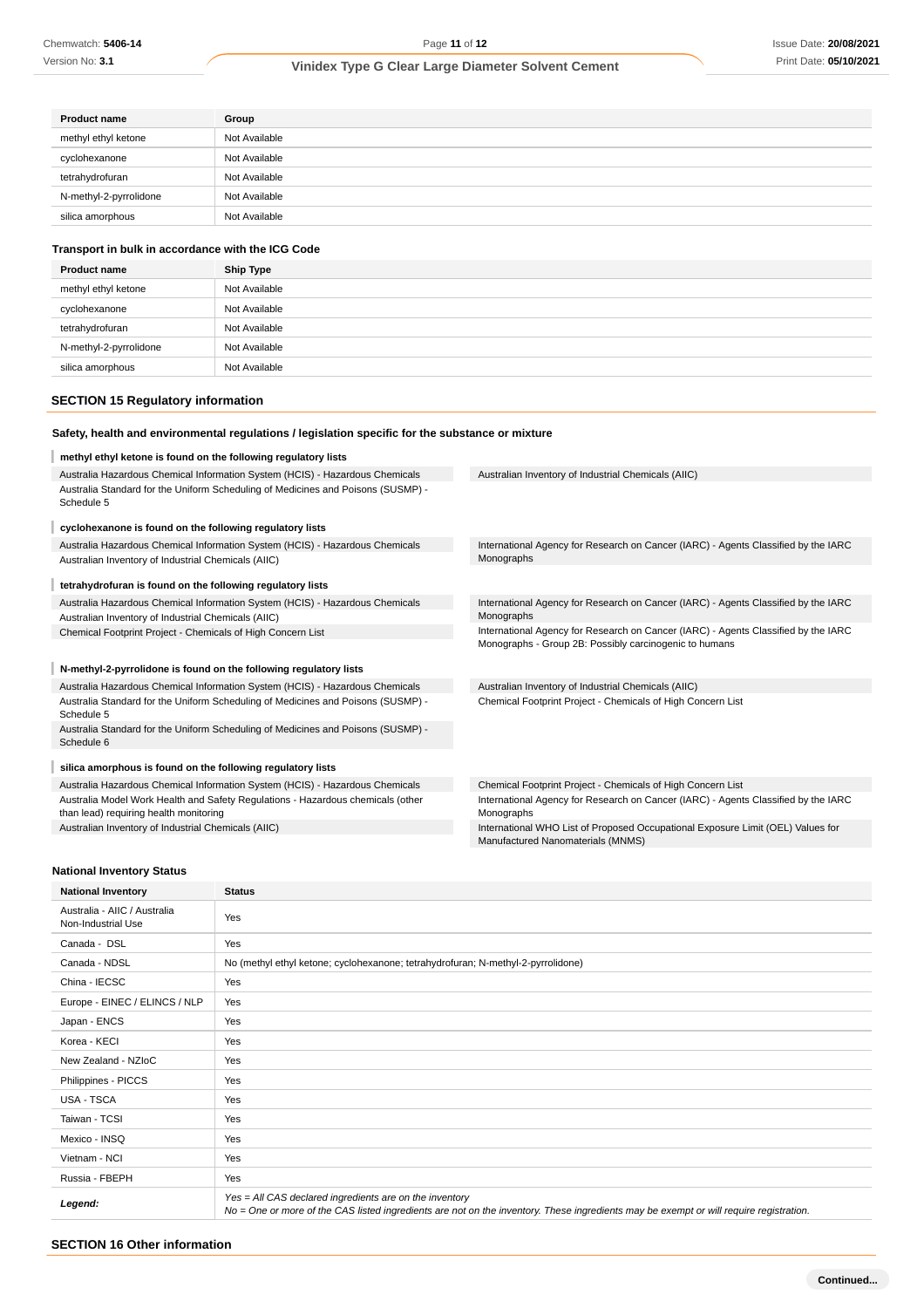### **Vinidex Type G Clear Large Diameter Solvent Cement**

| <b>Product name</b>    | Group         |
|------------------------|---------------|
| methyl ethyl ketone    | Not Available |
| cyclohexanone          | Not Available |
| tetrahydrofuran        | Not Available |
| N-methyl-2-pyrrolidone | Not Available |
| silica amorphous       | Not Available |

#### **Transport in bulk in accordance with the ICG Code**

| <b>Product name</b>    | Ship Type     |
|------------------------|---------------|
| methyl ethyl ketone    | Not Available |
| cyclohexanone          | Not Available |
| tetrahydrofuran        | Not Available |
| N-methyl-2-pyrrolidone | Not Available |
| silica amorphous       | Not Available |

### **SECTION 15 Regulatory information**

### **methyl ethyl ketone is found on the following regulatory lists**

| Australia Hazardous Chemical Information System (HCIS) - Hazardous Chemicals                                              | Australian Inventory of Industrial Chemicals (AIIC)                                                                                          |
|---------------------------------------------------------------------------------------------------------------------------|----------------------------------------------------------------------------------------------------------------------------------------------|
| Australia Standard for the Uniform Scheduling of Medicines and Poisons (SUSMP) -<br>Schedule 5                            |                                                                                                                                              |
| cyclohexanone is found on the following regulatory lists                                                                  |                                                                                                                                              |
| Australia Hazardous Chemical Information System (HCIS) - Hazardous Chemicals                                              | International Agency for Research on Cancer (IARC) - Agents Classified by the IARC                                                           |
| Australian Inventory of Industrial Chemicals (AIIC)                                                                       | Monographs                                                                                                                                   |
| tetrahydrofuran is found on the following regulatory lists                                                                |                                                                                                                                              |
| Australia Hazardous Chemical Information System (HCIS) - Hazardous Chemicals                                              | International Agency for Research on Cancer (IARC) - Agents Classified by the IARC                                                           |
| Australian Inventory of Industrial Chemicals (AIIC)                                                                       | Monographs                                                                                                                                   |
| Chemical Footprint Project - Chemicals of High Concern List                                                               | International Agency for Research on Cancer (IARC) - Agents Classified by the IARC<br>Monographs - Group 2B: Possibly carcinogenic to humans |
| N-methyl-2-pyrrolidone is found on the following regulatory lists                                                         |                                                                                                                                              |
| Australia Hazardous Chemical Information System (HCIS) - Hazardous Chemicals                                              | Australian Inventory of Industrial Chemicals (AIIC)                                                                                          |
| Australia Standard for the Uniform Scheduling of Medicines and Poisons (SUSMP) -<br>Schedule 5                            | Chemical Footprint Project - Chemicals of High Concern List                                                                                  |
| Australia Standard for the Uniform Scheduling of Medicines and Poisons (SUSMP) -<br>Schedule 6                            |                                                                                                                                              |
| silica amorphous is found on the following regulatory lists                                                               |                                                                                                                                              |
| Australia Hazardous Chemical Information System (HCIS) - Hazardous Chemicals                                              | Chemical Footprint Project - Chemicals of High Concern List                                                                                  |
| Australia Model Work Health and Safety Regulations - Hazardous chemicals (other<br>than lead) requiring health monitoring | International Agency for Research on Cancer (IARC) - Agents Classified by the IARC<br>Monographs                                             |
| Australian Inventory of Industrial Chemicals (AIIC)                                                                       | International WHO List of Proposed Occupational Exposure Limit (OEL) Values for<br>Manufactured Nanomaterials (MNMS)                         |

#### **National Inventory Status**

| <b>National Inventory</b>                          | <b>Status</b>                                                                                                                                                                                     |
|----------------------------------------------------|---------------------------------------------------------------------------------------------------------------------------------------------------------------------------------------------------|
| Australia - AIIC / Australia<br>Non-Industrial Use | Yes                                                                                                                                                                                               |
| Canada - DSL                                       | Yes                                                                                                                                                                                               |
| Canada - NDSL                                      | No (methyl ethyl ketone; cyclohexanone; tetrahydrofuran; N-methyl-2-pyrrolidone)                                                                                                                  |
| China - IECSC                                      | Yes                                                                                                                                                                                               |
| Europe - EINEC / ELINCS / NLP                      | Yes                                                                                                                                                                                               |
| Japan - ENCS                                       | Yes                                                                                                                                                                                               |
| Korea - KECI                                       | Yes                                                                                                                                                                                               |
| New Zealand - NZIoC                                | Yes                                                                                                                                                                                               |
| Philippines - PICCS                                | Yes                                                                                                                                                                                               |
| USA - TSCA                                         | Yes                                                                                                                                                                                               |
| Taiwan - TCSI                                      | Yes                                                                                                                                                                                               |
| Mexico - INSQ                                      | Yes                                                                                                                                                                                               |
| Vietnam - NCI                                      | Yes                                                                                                                                                                                               |
| Russia - FBEPH                                     | Yes                                                                                                                                                                                               |
| Legend:                                            | Yes = All CAS declared ingredients are on the inventory<br>No = One or more of the CAS listed ingredients are not on the inventory. These ingredients may be exempt or will require registration. |